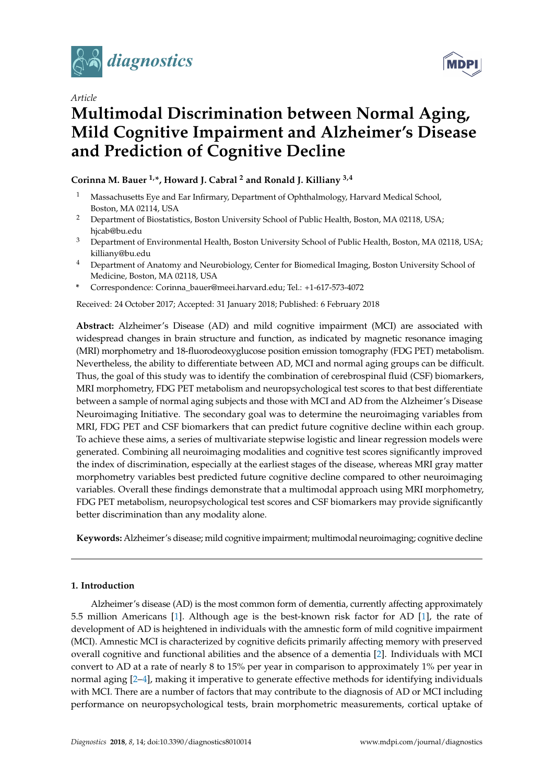

*Article*



# **Multimodal Discrimination between Normal Aging, Mild Cognitive Impairment and Alzheimer's Disease and Prediction of Cognitive Decline**

# **Corinna M. Bauer 1,\*, Howard J. Cabral <sup>2</sup> and Ronald J. Killiany 3,4**

- <sup>1</sup> Massachusetts Eye and Ear Infirmary, Department of Ophthalmology, Harvard Medical School, Boston, MA 02114, USA
- <sup>2</sup> Department of Biostatistics, Boston University School of Public Health, Boston, MA 02118, USA; hjcab@bu.edu
- <sup>3</sup> Department of Environmental Health, Boston University School of Public Health, Boston, MA 02118, USA; killiany@bu.edu
- <sup>4</sup> Department of Anatomy and Neurobiology, Center for Biomedical Imaging, Boston University School of Medicine, Boston, MA 02118, USA
- **\*** Correspondence: Corinna\_bauer@meei.harvard.edu; Tel.: +1-617-573-4072

Received: 24 October 2017; Accepted: 31 January 2018; Published: 6 February 2018

**Abstract:** Alzheimer's Disease (AD) and mild cognitive impairment (MCI) are associated with widespread changes in brain structure and function, as indicated by magnetic resonance imaging (MRI) morphometry and 18-fluorodeoxyglucose position emission tomography (FDG PET) metabolism. Nevertheless, the ability to differentiate between AD, MCI and normal aging groups can be difficult. Thus, the goal of this study was to identify the combination of cerebrospinal fluid (CSF) biomarkers, MRI morphometry, FDG PET metabolism and neuropsychological test scores to that best differentiate between a sample of normal aging subjects and those with MCI and AD from the Alzheimer's Disease Neuroimaging Initiative. The secondary goal was to determine the neuroimaging variables from MRI, FDG PET and CSF biomarkers that can predict future cognitive decline within each group. To achieve these aims, a series of multivariate stepwise logistic and linear regression models were generated. Combining all neuroimaging modalities and cognitive test scores significantly improved the index of discrimination, especially at the earliest stages of the disease, whereas MRI gray matter morphometry variables best predicted future cognitive decline compared to other neuroimaging variables. Overall these findings demonstrate that a multimodal approach using MRI morphometry, FDG PET metabolism, neuropsychological test scores and CSF biomarkers may provide significantly better discrimination than any modality alone.

**Keywords:** Alzheimer's disease; mild cognitive impairment; multimodal neuroimaging; cognitive decline

## **1. Introduction**

Alzheimer's disease (AD) is the most common form of dementia, currently affecting approximately 5.5 million Americans [\[1\]](#page-15-0). Although age is the best-known risk factor for AD [\[1\]](#page-15-0), the rate of development of AD is heightened in individuals with the amnestic form of mild cognitive impairment (MCI). Amnestic MCI is characterized by cognitive deficits primarily affecting memory with preserved overall cognitive and functional abilities and the absence of a dementia [\[2\]](#page-15-1). Individuals with MCI convert to AD at a rate of nearly 8 to 15% per year in comparison to approximately 1% per year in normal aging [\[2](#page-15-1)[–4\]](#page-15-2), making it imperative to generate effective methods for identifying individuals with MCI. There are a number of factors that may contribute to the diagnosis of AD or MCI including performance on neuropsychological tests, brain morphometric measurements, cortical uptake of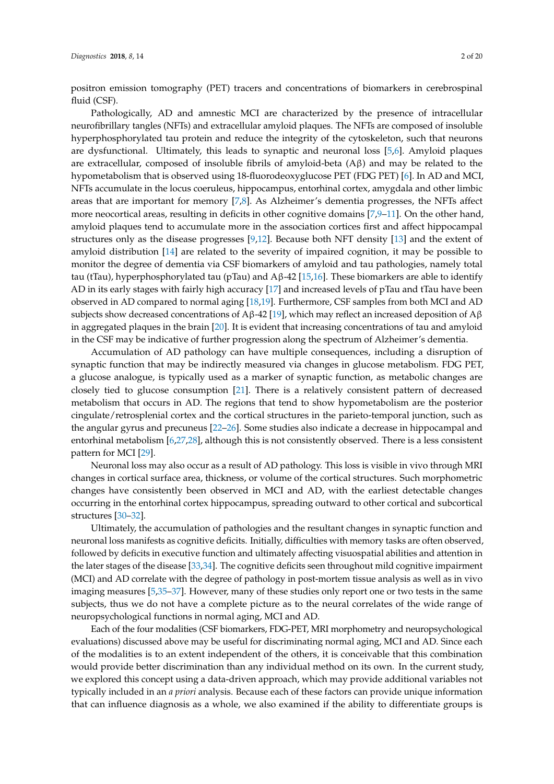positron emission tomography (PET) tracers and concentrations of biomarkers in cerebrospinal fluid (CSF).

Pathologically, AD and amnestic MCI are characterized by the presence of intracellular neurofibrillary tangles (NFTs) and extracellular amyloid plaques. The NFTs are composed of insoluble hyperphosphorylated tau protein and reduce the integrity of the cytoskeleton, such that neurons are dysfunctional. Ultimately, this leads to synaptic and neuronal loss [\[5](#page-15-3)[,6\]](#page-15-4). Amyloid plaques are extracellular, composed of insoluble fibrils of amyloid-beta  $(A\beta)$  and may be related to the hypometabolism that is observed using 18-fluorodeoxyglucose PET (FDG PET) [\[6\]](#page-15-4). In AD and MCI, NFTs accumulate in the locus coeruleus, hippocampus, entorhinal cortex, amygdala and other limbic areas that are important for memory [\[7](#page-15-5)[,8\]](#page-15-6). As Alzheimer's dementia progresses, the NFTs affect more neocortical areas, resulting in deficits in other cognitive domains [\[7,](#page-15-5)[9–](#page-15-7)[11\]](#page-15-8). On the other hand, amyloid plaques tend to accumulate more in the association cortices first and affect hippocampal structures only as the disease progresses [\[9](#page-15-7)[,12\]](#page-15-9). Because both NFT density [\[13\]](#page-15-10) and the extent of amyloid distribution [\[14\]](#page-15-11) are related to the severity of impaired cognition, it may be possible to monitor the degree of dementia via CSF biomarkers of amyloid and tau pathologies, namely total tau (tTau), hyperphosphorylated tau (pTau) and Aβ-42 [\[15](#page-15-12)[,16\]](#page-15-13). These biomarkers are able to identify AD in its early stages with fairly high accuracy [\[17\]](#page-15-14) and increased levels of pTau and tTau have been observed in AD compared to normal aging [\[18,](#page-16-0)[19\]](#page-16-1). Furthermore, CSF samples from both MCI and AD subjects show decreased concentrations of Aβ-42 [\[19\]](#page-16-1), which may reflect an increased deposition of Aβ in aggregated plaques in the brain [\[20\]](#page-16-2). It is evident that increasing concentrations of tau and amyloid in the CSF may be indicative of further progression along the spectrum of Alzheimer's dementia.

Accumulation of AD pathology can have multiple consequences, including a disruption of synaptic function that may be indirectly measured via changes in glucose metabolism. FDG PET, a glucose analogue, is typically used as a marker of synaptic function, as metabolic changes are closely tied to glucose consumption [\[21\]](#page-16-3). There is a relatively consistent pattern of decreased metabolism that occurs in AD. The regions that tend to show hypometabolism are the posterior cingulate/retrosplenial cortex and the cortical structures in the parieto-temporal junction, such as the angular gyrus and precuneus [\[22–](#page-16-4)[26\]](#page-16-5). Some studies also indicate a decrease in hippocampal and entorhinal metabolism [\[6,](#page-15-4)[27,](#page-16-6)[28\]](#page-16-7), although this is not consistently observed. There is a less consistent pattern for MCI [\[29\]](#page-16-8).

Neuronal loss may also occur as a result of AD pathology. This loss is visible in vivo through MRI changes in cortical surface area, thickness, or volume of the cortical structures. Such morphometric changes have consistently been observed in MCI and AD, with the earliest detectable changes occurring in the entorhinal cortex hippocampus, spreading outward to other cortical and subcortical structures [\[30](#page-16-9)[–32\]](#page-16-10).

Ultimately, the accumulation of pathologies and the resultant changes in synaptic function and neuronal loss manifests as cognitive deficits. Initially, difficulties with memory tasks are often observed, followed by deficits in executive function and ultimately affecting visuospatial abilities and attention in the later stages of the disease [\[33,](#page-16-11)[34\]](#page-16-12). The cognitive deficits seen throughout mild cognitive impairment (MCI) and AD correlate with the degree of pathology in post-mortem tissue analysis as well as in vivo imaging measures [\[5,](#page-15-3)[35–](#page-16-13)[37\]](#page-17-0). However, many of these studies only report one or two tests in the same subjects, thus we do not have a complete picture as to the neural correlates of the wide range of neuropsychological functions in normal aging, MCI and AD.

Each of the four modalities (CSF biomarkers, FDG-PET, MRI morphometry and neuropsychological evaluations) discussed above may be useful for discriminating normal aging, MCI and AD. Since each of the modalities is to an extent independent of the others, it is conceivable that this combination would provide better discrimination than any individual method on its own. In the current study, we explored this concept using a data-driven approach, which may provide additional variables not typically included in an *a priori* analysis. Because each of these factors can provide unique information that can influence diagnosis as a whole, we also examined if the ability to differentiate groups is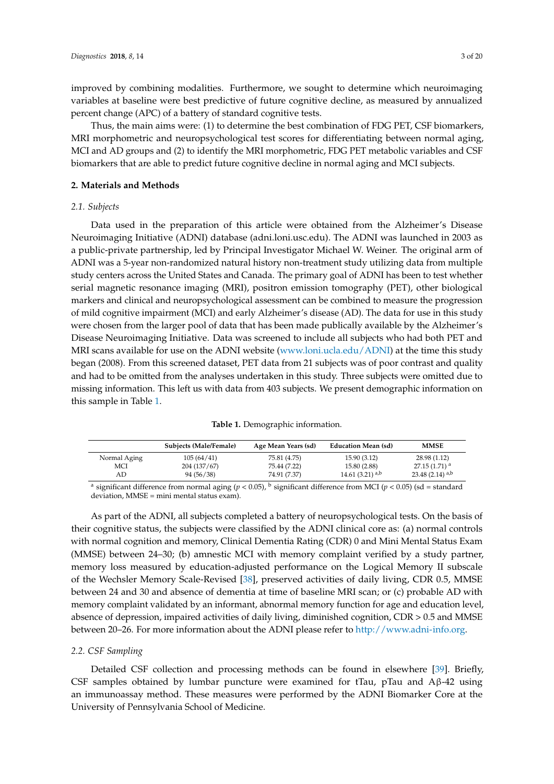improved by combining modalities. Furthermore, we sought to determine which neuroimaging variables at baseline were best predictive of future cognitive decline, as measured by annualized percent change (APC) of a battery of standard cognitive tests.

Thus, the main aims were: (1) to determine the best combination of FDG PET, CSF biomarkers, MRI morphometric and neuropsychological test scores for differentiating between normal aging, MCI and AD groups and (2) to identify the MRI morphometric, FDG PET metabolic variables and CSF biomarkers that are able to predict future cognitive decline in normal aging and MCI subjects.

## **2. Materials and Methods**

## *2.1. Subjects*

Data used in the preparation of this article were obtained from the Alzheimer's Disease Neuroimaging Initiative (ADNI) database (adni.loni.usc.edu). The ADNI was launched in 2003 as a public-private partnership, led by Principal Investigator Michael W. Weiner. The original arm of ADNI was a 5-year non-randomized natural history non-treatment study utilizing data from multiple study centers across the United States and Canada. The primary goal of ADNI has been to test whether serial magnetic resonance imaging (MRI), positron emission tomography (PET), other biological markers and clinical and neuropsychological assessment can be combined to measure the progression of mild cognitive impairment (MCI) and early Alzheimer's disease (AD). The data for use in this study were chosen from the larger pool of data that has been made publically available by the Alzheimer's Disease Neuroimaging Initiative. Data was screened to include all subjects who had both PET and MRI scans available for use on the ADNI website [\(www.loni.ucla.edu/ADNI\)](www.loni.ucla.edu/ADNI) at the time this study began (2008). From this screened dataset, PET data from 21 subjects was of poor contrast and quality and had to be omitted from the analyses undertaken in this study. Three subjects were omitted due to missing information. This left us with data from 403 subjects. We present demographic information on this sample in Table [1.](#page-2-0)

|  | Table 1. Demographic information. |  |  |  |  |
|--|-----------------------------------|--|--|--|--|
|--|-----------------------------------|--|--|--|--|

<span id="page-2-0"></span>

|              | <b>Subjects (Male/Female)</b> | Age Mean Years (sd) | <b>Education Mean (sd)</b>    | <b>MMSE</b>                   |
|--------------|-------------------------------|---------------------|-------------------------------|-------------------------------|
| Normal Aging | 105(64/41)                    | 75.81 (4.75)        | 15.90 (3.12)                  | 28.98 (1.12)                  |
| MCI          | 204 (137/67)                  | 75.44 (7.22)        | 15.80 (2.88)                  | $27.15(1.71)^{a}$             |
| AD           | 94 (56/38)                    | 74.91 (7.37)        | 14.61 $(3.21)$ <sup>a,b</sup> | 23.48 $(2.14)$ <sup>a,b</sup> |

<sup>a</sup> significant difference from normal aging (*p* < 0.05), <sup>b</sup> significant difference from MCI (*p* < 0.05) (sd = standard deviation, MMSE = mini mental status exam).

As part of the ADNI, all subjects completed a battery of neuropsychological tests. On the basis of their cognitive status, the subjects were classified by the ADNI clinical core as: (a) normal controls with normal cognition and memory, Clinical Dementia Rating (CDR) 0 and Mini Mental Status Exam (MMSE) between 24–30; (b) amnestic MCI with memory complaint verified by a study partner, memory loss measured by education-adjusted performance on the Logical Memory II subscale of the Wechsler Memory Scale-Revised [\[38\]](#page-17-1), preserved activities of daily living, CDR 0.5, MMSE between 24 and 30 and absence of dementia at time of baseline MRI scan; or (c) probable AD with memory complaint validated by an informant, abnormal memory function for age and education level, absence of depression, impaired activities of daily living, diminished cognition, CDR > 0.5 and MMSE between 20–26. For more information about the ADNI please refer to [http://www.adni-info.org.](http://www.adni-info.org)

## *2.2. CSF Sampling*

Detailed CSF collection and processing methods can be found in elsewhere [\[39\]](#page-17-2). Briefly, CSF samples obtained by lumbar puncture were examined for tTau, pTau and  $A\beta$ -42 using an immunoassay method. These measures were performed by the ADNI Biomarker Core at the University of Pennsylvania School of Medicine.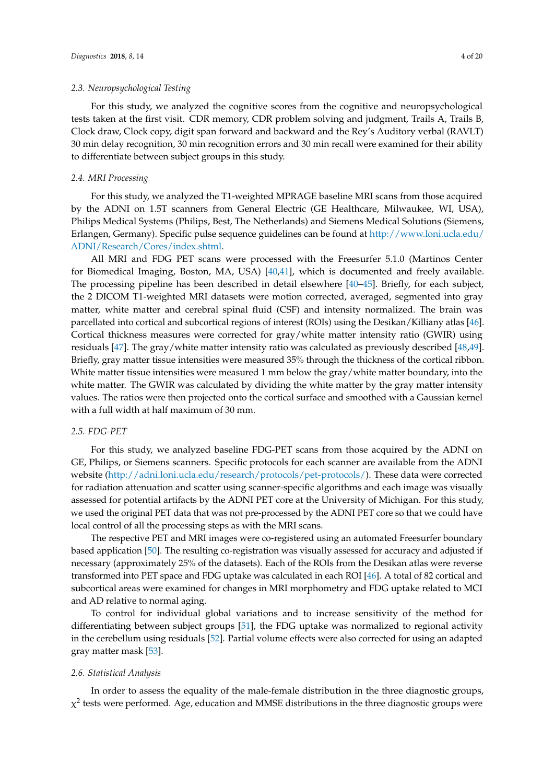For this study, we analyzed the cognitive scores from the cognitive and neuropsychological tests taken at the first visit. CDR memory, CDR problem solving and judgment, Trails A, Trails B, Clock draw, Clock copy, digit span forward and backward and the Rey's Auditory verbal (RAVLT) 30 min delay recognition, 30 min recognition errors and 30 min recall were examined for their ability to differentiate between subject groups in this study.

## *2.4. MRI Processing*

For this study, we analyzed the T1-weighted MPRAGE baseline MRI scans from those acquired by the ADNI on 1.5T scanners from General Electric (GE Healthcare, Milwaukee, WI, USA), Philips Medical Systems (Philips, Best, The Netherlands) and Siemens Medical Solutions (Siemens, Erlangen, Germany). Specific pulse sequence guidelines can be found at [http://www.loni.ucla.edu/](http://www.loni.ucla.edu/ADNI/Research/Cores/index.shtml) [ADNI/Research/Cores/index.shtml.](http://www.loni.ucla.edu/ADNI/Research/Cores/index.shtml)

All MRI and FDG PET scans were processed with the Freesurfer 5.1.0 (Martinos Center for Biomedical Imaging, Boston, MA, USA) [\[40](#page-17-3)[,41\]](#page-17-4), which is documented and freely available. The processing pipeline has been described in detail elsewhere [\[40](#page-17-3)[–45\]](#page-17-5). Briefly, for each subject, the 2 DICOM T1-weighted MRI datasets were motion corrected, averaged, segmented into gray matter, white matter and cerebral spinal fluid (CSF) and intensity normalized. The brain was parcellated into cortical and subcortical regions of interest (ROIs) using the Desikan/Killiany atlas [\[46\]](#page-17-6). Cortical thickness measures were corrected for gray/white matter intensity ratio (GWIR) using residuals [\[47\]](#page-17-7). The gray/white matter intensity ratio was calculated as previously described [\[48,](#page-17-8)[49\]](#page-17-9). Briefly, gray matter tissue intensities were measured 35% through the thickness of the cortical ribbon. White matter tissue intensities were measured 1 mm below the gray/white matter boundary, into the white matter. The GWIR was calculated by dividing the white matter by the gray matter intensity values. The ratios were then projected onto the cortical surface and smoothed with a Gaussian kernel with a full width at half maximum of 30 mm.

## *2.5. FDG-PET*

For this study, we analyzed baseline FDG-PET scans from those acquired by the ADNI on GE, Philips, or Siemens scanners. Specific protocols for each scanner are available from the ADNI website [\(http://adni.loni.ucla.edu/research/protocols/pet-protocols/\)](http://adni.loni.ucla.edu/research/protocols/pet-protocols/). These data were corrected for radiation attenuation and scatter using scanner-specific algorithms and each image was visually assessed for potential artifacts by the ADNI PET core at the University of Michigan. For this study, we used the original PET data that was not pre-processed by the ADNI PET core so that we could have local control of all the processing steps as with the MRI scans.

The respective PET and MRI images were co-registered using an automated Freesurfer boundary based application [\[50\]](#page-17-10). The resulting co-registration was visually assessed for accuracy and adjusted if necessary (approximately 25% of the datasets). Each of the ROIs from the Desikan atlas were reverse transformed into PET space and FDG uptake was calculated in each ROI [\[46\]](#page-17-6). A total of 82 cortical and subcortical areas were examined for changes in MRI morphometry and FDG uptake related to MCI and AD relative to normal aging.

To control for individual global variations and to increase sensitivity of the method for differentiating between subject groups [\[51\]](#page-17-11), the FDG uptake was normalized to regional activity in the cerebellum using residuals [\[52\]](#page-17-12). Partial volume effects were also corrected for using an adapted gray matter mask [\[53\]](#page-17-13).

#### *2.6. Statistical Analysis*

In order to assess the equality of the male-female distribution in the three diagnostic groups,  $\chi^2$  tests were performed. Age, education and MMSE distributions in the three diagnostic groups were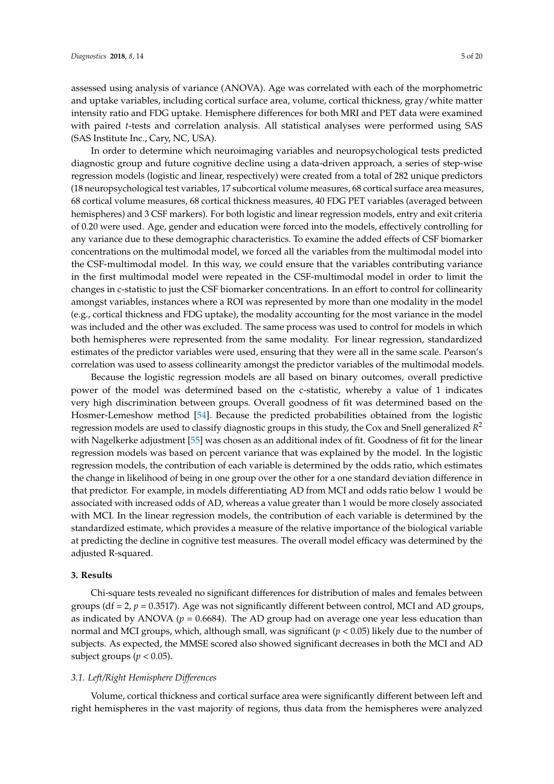assessed using analysis of variance (ANOVA). Age was correlated with each of the morphometric and uptake variables, including cortical surface area, volume, cortical thickness, gray/white matter intensity ratio and FDG uptake. Hemisphere differences for both MRI and PET data were examined with paired *t*-tests and correlation analysis. All statistical analyses were performed using SAS (SAS Institute Inc., Cary, NC, USA).

In order to determine which neuroimaging variables and neuropsychological tests predicted diagnostic group and future cognitive decline using a data-driven approach, a series of step-wise regression models (logistic and linear, respectively) were created from a total of 282 unique predictors (18 neuropsychological test variables, 17 subcortical volume measures, 68 cortical surface area measures, 68 cortical volume measures, 68 cortical thickness measures, 40 FDG PET variables (averaged between hemispheres) and 3 CSF markers). For both logistic and linear regression models, entry and exit criteria of 0.20 were used. Age, gender and education were forced into the models, effectively controlling for any variance due to these demographic characteristics. To examine the added effects of CSF biomarker concentrations on the multimodal model, we forced all the variables from the multimodal model into the CSF-multimodal model. In this way, we could ensure that the variables contributing variance in the first multimodal model were repeated in the CSF-multimodal model in order to limit the changes in c-statistic to just the CSF biomarker concentrations. In an effort to control for collinearity amongst variables, instances where a ROI was represented by more than one modality in the model (e.g., cortical thickness and FDG uptake), the modality accounting for the most variance in the model was included and the other was excluded. The same process was used to control for models in which both hemispheres were represented from the same modality. For linear regression, standardized estimates of the predictor variables were used, ensuring that they were all in the same scale. Pearson's correlation was used to assess collinearity amongst the predictor variables of the multimodal models.

Because the logistic regression models are all based on binary outcomes, overall predictive power of the model was determined based on the c-statistic, whereby a value of 1 indicates very high discrimination between groups. Overall goodness of fit was determined based on the Hosmer-Lemeshow method [\[54\]](#page-17-14). Because the predicted probabilities obtained from the logistic regression models are used to classify diagnostic groups in this study, the Cox and Snell generalized *R* 2 with Nagelkerke adjustment [\[55\]](#page-17-15) was chosen as an additional index of fit. Goodness of fit for the linear regression models was based on percent variance that was explained by the model. In the logistic regression models, the contribution of each variable is determined by the odds ratio, which estimates the change in likelihood of being in one group over the other for a one standard deviation difference in that predictor. For example, in models differentiating AD from MCI and odds ratio below 1 would be associated with increased odds of AD, whereas a value greater than 1 would be more closely associated with MCI. In the linear regression models, the contribution of each variable is determined by the standardized estimate, which provides a measure of the relative importance of the biological variable at predicting the decline in cognitive test measures. The overall model efficacy was determined by the adjusted R-squared.

## **3. Results**

Chi-square tests revealed no significant differences for distribution of males and females between groups ( $df = 2$ ,  $p = 0.3517$ ). Age was not significantly different between control, MCI and AD groups, as indicated by ANOVA ( $p = 0.6684$ ). The AD group had on average one year less education than normal and MCI groups, which, although small, was significant (*p* < 0.05) likely due to the number of subjects. As expected, the MMSE scored also showed significant decreases in both the MCI and AD subject groups ( $p < 0.05$ ).

## *3.1. Left/Right Hemisphere Differences*

Volume, cortical thickness and cortical surface area were significantly different between left and right hemispheres in the vast majority of regions, thus data from the hemispheres were analyzed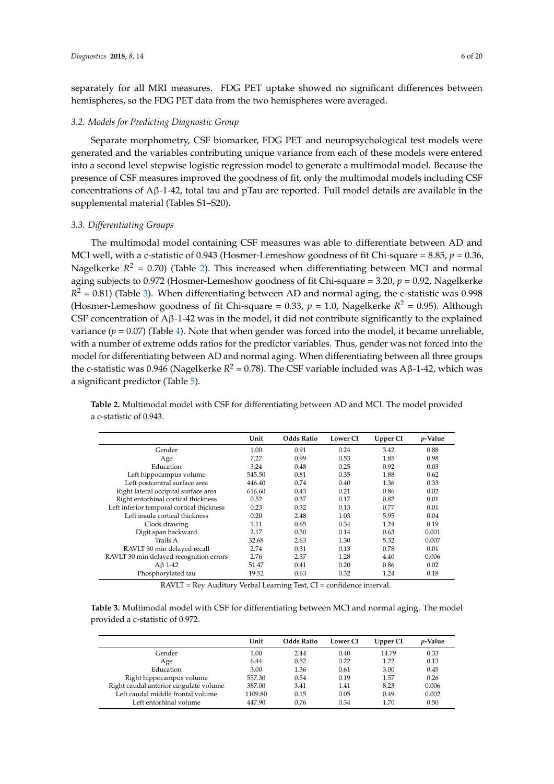separately for all MRI measures. FDG PET uptake showed no significant differences between hemispheres, so the FDG PET data from the two hemispheres were averaged.

## *3.2. Models for Predicting Diagnostic Group*

Separate morphometry, CSF biomarker, FDG PET and neuropsychological test models were generated and the variables contributing unique variance from each of these models were entered into a second level stepwise logistic regression model to generate a multimodal model. Because the presence of CSF measures improved the goodness of fit, only the multimodal models including CSF concentrations of Aβ-1-42, total tau and pTau are reported. Full model details are available in the supplemental material (Tables S1–S20).

## *3.3. Differentiating Groups*

The multimodal model containing CSF measures was able to differentiate between AD and MCI well, with a c-statistic of 0.943 (Hosmer-Lemeshow goodness of fit Chi-square = 8.85, *p* = 0.36, Nagelkerke  $R^2 = 0.70$ ) (Table [2\)](#page-5-0). This increased when differentiating between MCI and normal aging subjects to 0.972 (Hosmer-Lemeshow goodness of fit Chi-square = 3.20, *p* = 0.92, Nagelkerke  $R<sup>2</sup>$  = 0.81) (Table [3\)](#page-6-0). When differentiating between AD and normal aging, the c-statistic was 0.998 (Hosmer-Lemeshow goodness of fit Chi-square =  $0.33$ ,  $p = 1.0$ , Nagelkerke  $R^2 = 0.95$ ). Although CSF concentration of  $A\beta$ -1-42 was in the model, it did not contribute significantly to the explained variance ( $p = 0.07$ ) (Table [4\)](#page-6-1). Note that when gender was forced into the model, it became unreliable, with a number of extreme odds ratios for the predictor variables. Thus, gender was not forced into the model for differentiating between AD and normal aging. When differentiating between all three groups the c-statistic was 0.946 (Nagelkerke  $R^2 = 0.78$ ). The CSF variable included was Aβ-1-42, which was a significant predictor (Table [5\)](#page-6-2).

<span id="page-5-0"></span>**Table 2.** Multimodal model with CSF for differentiating between AD and MCI. The model provided a c-statistic of 0.943.

|                                           | Unit   | <b>Odds Ratio</b> | <b>Lower CI</b> | Upper CI | <i>p</i> -Value |
|-------------------------------------------|--------|-------------------|-----------------|----------|-----------------|
| Gender                                    | 1.00   | 0.91              | 0.24            | 3.42     | 0.88            |
| Age                                       | 7.27   | 0.99              | 0.53            | 1.85     | 0.98            |
| Education                                 | 3.24   | 0.48              | 0.25            | 0.92     | 0.03            |
| Left hippocampus volume                   | 545.50 | 0.81              | 0.35            | 1.88     | 0.62            |
| Left postcentral surface area             | 446.40 | 0.74              | 0.40            | 1.36     | 0.33            |
| Right lateral occipital surface area      | 616.60 | 0.43              | 0.21            | 0.86     | 0.02            |
| Right entorhinal cortical thickness       | 0.52   | 0.37              | 0.17            | 0.82     | 0.01            |
| Left inferior temporal cortical thickness | 0.23   | 0.32              | 0.13            | 0.77     | 0.01            |
| Left insula cortical thickness            | 0.20   | 2.48              | 1.03            | 5.95     | 0.04            |
| Clock drawing                             | 1.11   | 0.65              | 0.34            | 1.24     | 0.19            |
| Digit span backward                       | 2.17   | 0.30              | 0.14            | 0.63     | 0.001           |
| Trails A                                  | 32.68  | 2.63              | 1.30            | 5.32     | 0.007           |
| RAVLT 30 min delayed recall               | 2.74   | 0.31              | 0.13            | 0.78     | 0.01            |
| RAVLT 30 min delayed recognition errors   | 2.76   | 2.37              | 1.28            | 4.40     | 0.006           |
| $AB$ 1-42                                 | 51.47  | 0.41              | 0.20            | 0.86     | 0.02            |
| Phosphorylated tau                        | 19.52  | 0.63              | 0.32            | 1.24     | 0.18            |

RAVLT = Rey Auditory Verbal Learning Test, CI = confidence interval.

**Table 3.** Multimodal model with CSF for differentiating between MCI and normal aging. The model provided a c-statistic of 0.972.

|                                        | Unit    | <b>Odds Ratio</b> | <b>Lower CI</b> | Upper CI | <i>v</i> -Value |
|----------------------------------------|---------|-------------------|-----------------|----------|-----------------|
| Gender                                 | 1.00    | 2.44              | 0.40            | 14.79    | 0.33            |
| Age                                    | 6.44    | 0.52              | 0.22            | 1.22     | 0.13            |
| Education                              | 3.00    | 1.36              | 0.61            | 3.00     | 0.45            |
| Right hippocampus volume               | 557.30  | 0.54              | 0.19            | 1.57     | 0.26            |
| Right caudal anterior cingulate volume | 387.00  | 3.41              | 1.41            | 8.23     | 0.006           |
| Left caudal middle frontal volume      | 1109.80 | 0.15              | 0.05            | 0.49     | 0.002           |
| Left entorhinal volume                 | 447.90  | 0.76              | 0.34            | 1.70     | 0.50            |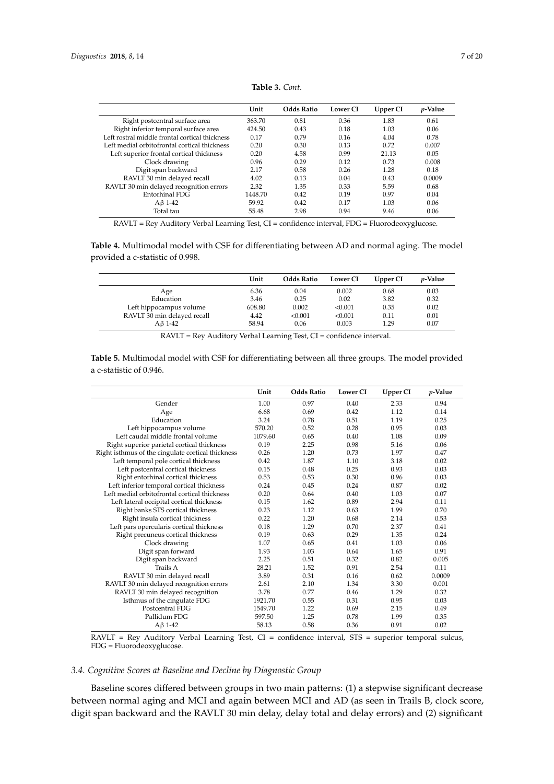<span id="page-6-0"></span>

|                                                | Unit    | <b>Odds Ratio</b> | <b>Lower CI</b> | Upper CI | <i>p</i> -Value |
|------------------------------------------------|---------|-------------------|-----------------|----------|-----------------|
| Right postcentral surface area                 | 363.70  | 0.81              | 0.36            | 1.83     | 0.61            |
| Right inferior temporal surface area           | 424.50  | 0.43              | 0.18            | 1.03     | 0.06            |
| Left rostral middle frontal cortical thickness | 0.17    | 0.79              | 0.16            | 4.04     | 0.78            |
| Left medial orbitofrontal cortical thickness   | 0.20    | 0.30              | 0.13            | 0.72     | 0.007           |
| Left superior frontal cortical thickness       | 0.20    | 4.58              | 0.99            | 21.13    | 0.05            |
| Clock drawing                                  | 0.96    | 0.29              | 0.12            | 0.73     | 0.008           |
| Digit span backward                            | 2.17    | 0.58              | 0.26            | 1.28     | 0.18            |
| RAVLT 30 min delayed recall                    | 4.02    | 0.13              | 0.04            | 0.43     | 0.0009          |
| RAVLT 30 min delayed recognition errors        | 2.32    | 1.35              | 0.33            | 5.59     | 0.68            |
| Entorhinal FDG                                 | 1448.70 | 0.42              | 0.19            | 0.97     | 0.04            |
| $A\beta$ 1-42                                  | 59.92   | 0.42              | 0.17            | 1.03     | 0.06            |
| Total tau                                      | 55.48   | 2.98              | 0.94            | 9.46     | 0.06            |

**Table 3.** *Cont.*

RAVLT = Rey Auditory Verbal Learning Test, CI = confidence interval, FDG = Fluorodeoxyglucose.

<span id="page-6-1"></span>**Table 4.** Multimodal model with CSF for differentiating between AD and normal aging. The model provided a c-statistic of 0.998.

|                             | Unit   | <b>Odds Ratio</b> | <b>Lower CI</b> | Upper CI | <i>p</i> -Value |
|-----------------------------|--------|-------------------|-----------------|----------|-----------------|
| Age                         | 6.36   | 0.04              | 0.002           | 0.68     | 0.03            |
| Education                   | 3.46   | 0.25              | 0.02            | 3.82     | 0.32            |
| Left hippocampus volume     | 608.80 | 0.002             | < 0.001         | 0.35     | 0.02            |
| RAVLT 30 min delayed recall | 4.42   | < 0.001           | < 0.001         | 0.11     | 0.01            |
| Aß 1-42                     | 58.94  | 0.06              | 0.003           | 1.29     | 0.07            |

RAVLT = Rey Auditory Verbal Learning Test, CI = confidence interval.

<span id="page-6-2"></span>**Table 5.** Multimodal model with CSF for differentiating between all three groups. The model provided a c-statistic of 0.946.

|                                                   | Unit    | <b>Odds Ratio</b> | Lower CI | Upper CI | $p$ -Value |
|---------------------------------------------------|---------|-------------------|----------|----------|------------|
| Gender                                            | 1.00    | 0.97              | 0.40     | 2.33     | 0.94       |
| Age                                               | 6.68    | 0.69              | 0.42     | 1.12     | 0.14       |
| Education                                         | 3.24    | 0.78              | 0.51     | 1.19     | 0.25       |
| Left hippocampus volume                           | 570.20  | 0.52              | 0.28     | 0.95     | 0.03       |
| Left caudal middle frontal volume                 | 1079.60 | 0.65              | 0.40     | 1.08     | 0.09       |
| Right superior parietal cortical thickness        | 0.19    | 2.25              | 0.98     | 5.16     | 0.06       |
| Right isthmus of the cingulate cortical thickness | 0.26    | 1.20              | 0.73     | 1.97     | 0.47       |
| Left temporal pole cortical thickness             | 0.42    | 1.87              | 1.10     | 3.18     | 0.02       |
| Left postcentral cortical thickness               | 0.15    | 0.48              | 0.25     | 0.93     | 0.03       |
| Right entorhinal cortical thickness               | 0.53    | 0.53              | 0.30     | 0.96     | 0.03       |
| Left inferior temporal cortical thickness         | 0.24    | 0.45              | 0.24     | 0.87     | 0.02       |
| Left medial orbitofrontal cortical thickness      | 0.20    | 0.64              | 0.40     | 1.03     | 0.07       |
| Left lateral occipital cortical thickness         | 0.15    | 1.62              | 0.89     | 2.94     | 0.11       |
| Right banks STS cortical thickness                | 0.23    | 1.12              | 0.63     | 1.99     | 0.70       |
| Right insula cortical thickness                   | 0.22    | 1.20              | 0.68     | 2.14     | 0.53       |
| Left pars opercularis cortical thickness          | 0.18    | 1.29              | 0.70     | 2.37     | 0.41       |
| Right precuneus cortical thickness                | 0.19    | 0.63              | 0.29     | 1.35     | 0.24       |
| Clock drawing                                     | 1.07    | 0.65              | 0.41     | 1.03     | 0.06       |
| Digit span forward                                | 1.93    | 1.03              | 0.64     | 1.65     | 0.91       |
| Digit span backward                               | 2.25    | 0.51              | 0.32     | 0.82     | 0.005      |
| Trails A                                          | 28.21   | 1.52              | 0.91     | 2.54     | 0.11       |
| RAVLT 30 min delayed recall                       | 3.89    | 0.31              | 0.16     | 0.62     | 0.0009     |
| RAVLT 30 min delayed recognition errors           | 2.61    | 2.10              | 1.34     | 3.30     | 0.001      |
| RAVLT 30 min delayed recognition                  | 3.78    | 0.77              | 0.46     | 1.29     | 0.32       |
| Isthmus of the cingulate FDG                      | 1921.70 | 0.55              | 0.31     | 0.95     | 0.03       |
| Postcentral FDG                                   | 1549.70 | 1.22              | 0.69     | 2.15     | 0.49       |
| Pallidum FDG                                      | 597.50  | 1.25              | 0.78     | 1.99     | 0.35       |
| $A\beta$ 1-42                                     | 58.13   | 0.58              | 0.36     | 0.91     | 0.02       |

RAVLT = Rey Auditory Verbal Learning Test, CI = confidence interval, STS = superior temporal sulcus, FDG = Fluorodeoxyglucose.

# *3.4. Cognitive Scores at Baseline and Decline by Diagnostic Group*

Baseline scores differed between groups in two main patterns: (1) a stepwise significant decrease between normal aging and MCI and again between MCI and AD (as seen in Trails B, clock score, digit span backward and the RAVLT 30 min delay, delay total and delay errors) and (2) significant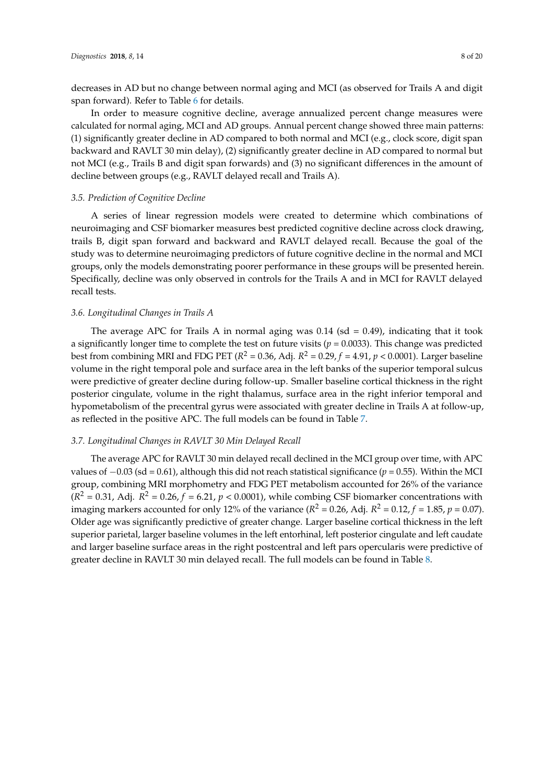decreases in AD but no change between normal aging and MCI (as observed for Trails A and digit span forward). Refer to Table [6](#page-8-0) for details.

In order to measure cognitive decline, average annualized percent change measures were calculated for normal aging, MCI and AD groups. Annual percent change showed three main patterns: (1) significantly greater decline in AD compared to both normal and MCI (e.g., clock score, digit span backward and RAVLT 30 min delay), (2) significantly greater decline in AD compared to normal but not MCI (e.g., Trails B and digit span forwards) and (3) no significant differences in the amount of decline between groups (e.g., RAVLT delayed recall and Trails A).

## *3.5. Prediction of Cognitive Decline*

A series of linear regression models were created to determine which combinations of neuroimaging and CSF biomarker measures best predicted cognitive decline across clock drawing, trails B, digit span forward and backward and RAVLT delayed recall. Because the goal of the study was to determine neuroimaging predictors of future cognitive decline in the normal and MCI groups, only the models demonstrating poorer performance in these groups will be presented herein. Specifically, decline was only observed in controls for the Trails A and in MCI for RAVLT delayed recall tests.

## *3.6. Longitudinal Changes in Trails A*

The average APC for Trails A in normal aging was  $0.14$  (sd = 0.49), indicating that it took a significantly longer time to complete the test on future visits (*p* = 0.0033). This change was predicted best from combining MRI and FDG PET (*R* <sup>2</sup> = 0.36, Adj. *R* <sup>2</sup> = 0.29, *f* = 4.91, *p* < 0.0001). Larger baseline volume in the right temporal pole and surface area in the left banks of the superior temporal sulcus were predictive of greater decline during follow-up. Smaller baseline cortical thickness in the right posterior cingulate, volume in the right thalamus, surface area in the right inferior temporal and hypometabolism of the precentral gyrus were associated with greater decline in Trails A at follow-up, as reflected in the positive APC. The full models can be found in Table [7.](#page-8-1)

#### *3.7. Longitudinal Changes in RAVLT 30 Min Delayed Recall*

The average APC for RAVLT 30 min delayed recall declined in the MCI group over time, with APC values of −0.03 (sd = 0.61), although this did not reach statistical significance (*p* = 0.55). Within the MCI group, combining MRI morphometry and FDG PET metabolism accounted for 26% of the variance  $(R^2 = 0.31$ , Adj.  $R^2 = 0.26$ ,  $f = 6.21$ ,  $p < 0.0001$ ), while combing CSF biomarker concentrations with imaging markers accounted for only 12% of the variance ( $R^2 = 0.26$ , Adj.  $R^2 = 0.12$ ,  $f = 1.85$ ,  $p = 0.07$ ). Older age was significantly predictive of greater change. Larger baseline cortical thickness in the left superior parietal, larger baseline volumes in the left entorhinal, left posterior cingulate and left caudate and larger baseline surface areas in the right postcentral and left pars opercularis were predictive of greater decline in RAVLT 30 min delayed recall. The full models can be found in Table [8.](#page-9-0)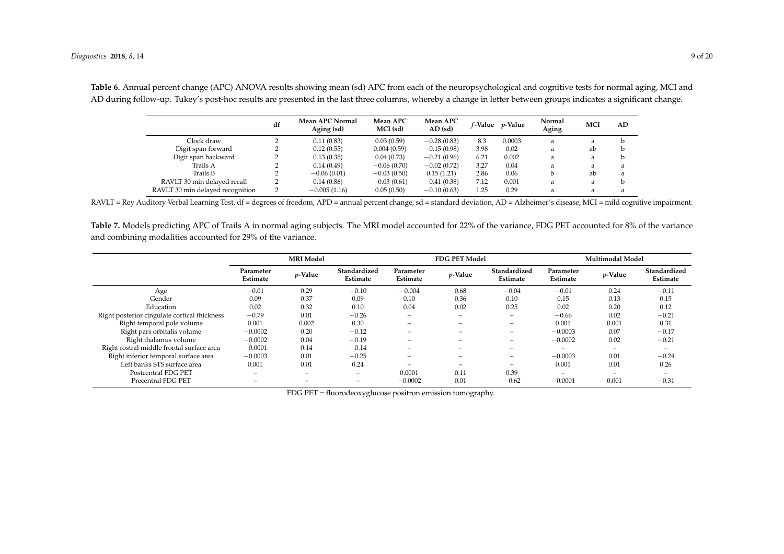|                                  | df | <b>Mean APC Normal</b><br>Aging (sd) | Mean APC<br>MCI (sd) | Mean APC<br>$AD$ (sd) | <i>f-</i> Value | <i>p</i> -Value | Normal<br>Aging | MCI | AD |
|----------------------------------|----|--------------------------------------|----------------------|-----------------------|-----------------|-----------------|-----------------|-----|----|
| Clock draw                       |    | 0.11(0.83)                           | 0.03(0.59)           | $-0.28(0.83)$         | 8.3             | 0.0003          | a               | a   |    |
| Digit span forward               |    | 0.12(0.55)                           | 0.004(0.59)          | $-0.15(0.98)$         | 3.98            | 0.02            | a               | ab  |    |
| Digit span backward              |    | 0.13(0.35)                           | 0.04(0.73)           | $-0.21(0.96)$         | 6.21            | 0.002           | a               | a   |    |
| Trails A                         |    | 0.14(0.49)                           | $-0.06(0.70)$        | $-0.02(0.72)$         | 3.27            | 0.04            | a               | a   | a  |
| Trails B                         |    | $-0.06(0.01)$                        | $-0.03(0.50)$        | 0.15(1.21)            | 2.86            | 0.06            |                 | ab  | a  |
| RAVLT 30 min delayed recall      |    | 0.14(0.86)                           | $-0.03(0.61)$        | $-0.41(0.38)$         | 7.12            | 0.001           | a               | a   |    |
| RAVLT 30 min delayed recognition |    | $-0.005(1.16)$                       | 0.05(0.50)           | $-0.10(0.63)$         | 1.25            | 0.29            | a               | a   | a  |
|                                  |    |                                      |                      |                       |                 |                 |                 |     |    |

**Table 6.** Annual percent change (APC) ANOVA results showing mean (sd) APC from each of the neuropsychological and cognitive tests for normal aging, MCI and AD during follow-up. Tukey's post-hoc results are presented in the last three columns, whereby a change in letter between groups indicates a significant change.

RAVLT = Rey Auditory Verbal Learning Test, df = degrees of freedom, APD = annual percent change, sd = standard deviation, AD = Alzheimer's disease, MCI = mild cognitive impairment.

Table 7. Models predicting APC of Trails A in normal aging subjects. The MRI model accounted for 22% of the variance, FDG PET accounted for 8% of the variance and combining modalities accounted for 29% of the variance.

<span id="page-8-1"></span><span id="page-8-0"></span>

|                                              |                                                      | <b>MRI</b> Model         |                          |                          | <b>FDG PET Model</b> |                          | Multimodal Model         |                          |                          |  |
|----------------------------------------------|------------------------------------------------------|--------------------------|--------------------------|--------------------------|----------------------|--------------------------|--------------------------|--------------------------|--------------------------|--|
|                                              | Parameter<br><i>p</i> -Value<br>Estimate<br>Estimate |                          | Standardized             | Parameter<br>Estimate    | <i>p</i> -Value      | Standardized<br>Estimate | Parameter<br>Estimate    | $p$ -Value               | Standardized<br>Estimate |  |
| Age                                          | $-0.01$                                              | 0.29                     | $-0.10$                  | $-0.004$                 | 0.68                 | $-0.04$                  | $-0.01$                  | 0.24                     | $-0.11$                  |  |
| Gender                                       | 0.09                                                 | 0.37                     | 0.09                     | 0.10                     | 0.36                 | 0.10                     | 0.15                     | 0.13                     | 0.15                     |  |
| Education                                    | 0.02                                                 | 0.32                     | 0.10                     | 0.04                     | 0.02                 | 0.25                     | 0.02                     | 0.20                     | 0.12                     |  |
| Right posterior cingulate cortical thickness | $-0.79$                                              | 0.01                     | $-0.26$                  | $\overline{\phantom{0}}$ | -                    | $\overline{\phantom{0}}$ | $-0.66$                  | 0.02                     | $-0.21$                  |  |
| Right temporal pole volume                   | 0.001                                                | 0.002                    | 0.30                     | $\overline{\phantom{a}}$ | -                    | $\overline{\phantom{0}}$ | 0.001                    | 0.001                    | 0.31                     |  |
| Right pars orbitalis volume                  | $-0.0002$                                            | 0.20                     | $-0.12$                  | $\overline{\phantom{a}}$ | -                    | $\overline{\phantom{0}}$ | $-0.0003$                | 0.07                     | $-0.17$                  |  |
| Right thalamus volume                        | $-0.0002$                                            | 0.04                     | $-0.19$                  | $\overline{\phantom{a}}$ | -                    | $\overline{\phantom{0}}$ | $-0.0002$                | 0.02                     | $-0.21$                  |  |
| Right rostral middle frontal surface area    | $-0.0001$                                            | 0.14                     | $-0.14$                  | $\overline{\phantom{a}}$ | -                    | $\overline{\phantom{a}}$ | $\overline{\phantom{0}}$ | $\overline{\phantom{0}}$ |                          |  |
| Right inferior temporal surface area         | $-0.0003$                                            | 0.01                     | $-0.25$                  | $\overline{\phantom{a}}$ | -                    | $\overline{\phantom{a}}$ | $-0.0003$                | 0.01                     | $-0.24$                  |  |
| Left banks STS surface area                  | 0.001                                                | 0.01                     | 0.24                     | $\overline{\phantom{a}}$ | -                    | $\overline{\phantom{0}}$ | 0.001                    | 0.01                     | 0.26                     |  |
| Postcentral FDG PET                          | -                                                    | $\overline{\phantom{0}}$ | $\overline{\phantom{0}}$ | 0.0001                   | 0.11                 | 0.39                     | $\overline{\phantom{m}}$ | $\overline{\phantom{a}}$ |                          |  |
| Precentral FDG PET                           | -                                                    |                          | $\overline{\phantom{0}}$ | $-0.0002$                | 0.01                 | $-0.62$                  | $-0.0001$                | 0.001                    | $-0.31$                  |  |

FDG PET = fluorodeoxyglucose positron emission tomography.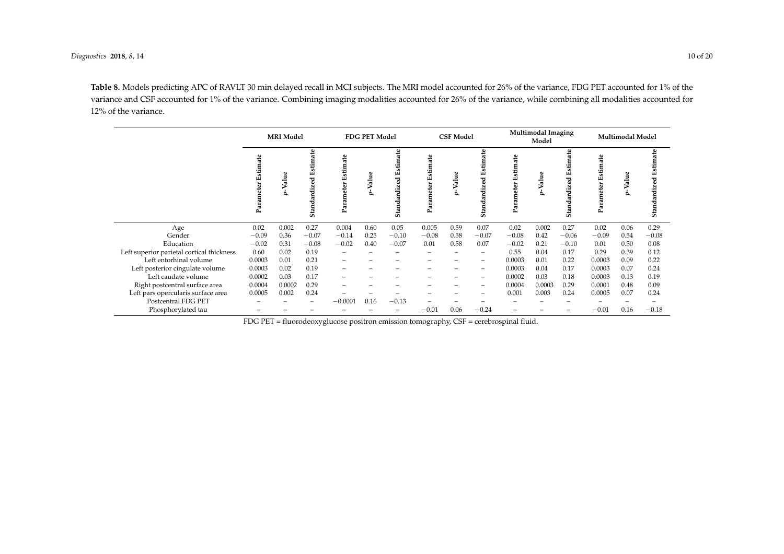**Table 8.** Models predicting APC of RAVLT 30 min delayed recall in MCI subjects. The MRI model accounted for 26% of the variance, FDG PET accounted for 1% of the variance and CSF accounted for 1% of the variance. Combining imaging modalities accounted for 26% of the variance, while combining all modalities accounted for 12% of the variance.

|                                           |                       | <b>MRI</b> Model |                                               |                          | <b>FDG PET Model</b> |                                                   |                         | <b>CSF Model</b> |                                       | <b>Multimodal Imaging</b><br>Model |        |         | <b>Multimodal Model</b> |      |                                                 |
|-------------------------------------------|-----------------------|------------------|-----------------------------------------------|--------------------------|----------------------|---------------------------------------------------|-------------------------|------------------|---------------------------------------|------------------------------------|--------|---------|-------------------------|------|-------------------------------------------------|
|                                           | Estimate<br>Parameter |                  | a‡e<br>stin<br>ш<br>᠊ᡄ<br>Б<br>뚿<br>↽<br>Stai | mate<br>Ė<br>Ë,          | Valu                 | ate<br>Estim<br>zed<br>i∯<br>ardi<br><b>Stand</b> | Estimate<br>eter<br>Par | Valu             | stimate<br>ш<br>zed<br>dardi:<br>Stan | stimate<br>шí<br>Ξ<br>ه<br>Param   | -Value | ō5      | Estimate<br>Ñ           |      | ate<br>Estin<br>zed<br>ਦੀ।<br>ਹਵਾਲੇ<br>ರ<br>Sta |
| Age                                       | 0.02                  | 0.002            | 0.27                                          | 0.004                    | 0.60                 | 0.05                                              | 0.005                   | 0.59             | 0.07                                  | 0.02                               | 0.002  | 0.27    | 0.02                    | 0.06 | 0.29                                            |
| Gender                                    | $-0.09$               | 0.36             | $-0.07$                                       | $-0.14$                  | 0.25                 | $-0.10$                                           | $-0.08$                 | 0.58             | $-0.07$                               | $-0.08$                            | 0.42   | $-0.06$ | $-0.09$                 | 0.54 | $-0.08$                                         |
| Education                                 | $-0.02$               | 0.31             | $-0.08$                                       | $-0.02$                  | 0.40                 | $-0.07$                                           | 0.01                    | 0.58             | 0.07                                  | $-0.02$                            | 0.21   | $-0.10$ | 0.01                    | 0.50 | 0.08                                            |
| Left superior parietal cortical thickness | 0.60                  | 0.02             | 0.19                                          |                          |                      |                                                   |                         |                  |                                       | 0.55                               | 0.04   | 0.17    | 0.29                    | 0.39 | 0.12                                            |
| Left entorhinal volume                    | 0.0003                | 0.01             | 0.21                                          |                          |                      |                                                   |                         |                  |                                       | 0.0003                             | 0.01   | 0.22    | 0.0003                  | 0.09 | 0.22                                            |
| Left posterior cingulate volume           | 0.0003                | 0.02             | 0.19                                          |                          |                      |                                                   |                         |                  | $\overline{\phantom{m}}$              | 0.0003                             | 0.04   | 0.17    | 0.0003                  | 0.07 | 0.24                                            |
| Left caudate volume                       | 0.0002                | 0.03             | 0.17                                          | $\overline{\phantom{0}}$ |                      |                                                   |                         |                  | $\overline{\phantom{0}}$              | 0.0002                             | 0.03   | 0.18    | 0.0003                  | 0.13 | 0.19                                            |
| Right postcentral surface area            | 0.0004                | 0.0002           | 0.29                                          |                          |                      |                                                   |                         |                  |                                       | 0.0004                             | 0.0003 | 0.29    | 0.0001                  | 0.48 | 0.09                                            |
| Left pars opercularis surface area        | 0.0005                | 0.002            | 0.24                                          |                          |                      |                                                   |                         |                  |                                       | 0.001                              | 0.003  | 0.24    | 0.0005                  | 0.07 | 0.24                                            |
| Postcentral FDG PET                       |                       |                  |                                               | $-0.0001$                | 0.16                 | $-0.13$                                           |                         |                  |                                       |                                    |        |         |                         |      |                                                 |
| Phosphorylated tau                        |                       |                  |                                               |                          |                      | -                                                 | $-0.01$                 | 0.06             | $-0.24$                               | $\overline{\phantom{0}}$           |        |         | $-0.01$                 | 0.16 | $-0.18$                                         |

<span id="page-9-0"></span>FDG PET = fluorodeoxyglucose positron emission tomography, CSF = cerebrospinal fluid.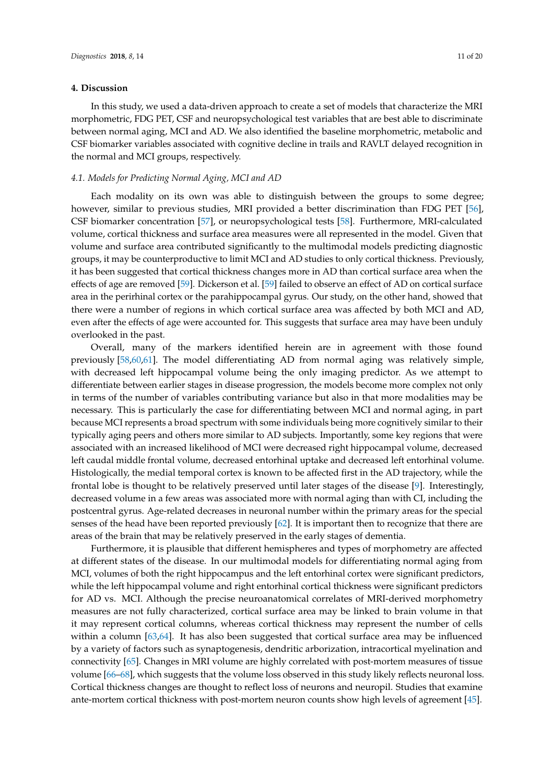## **4. Discussion**

In this study, we used a data-driven approach to create a set of models that characterize the MRI morphometric, FDG PET, CSF and neuropsychological test variables that are best able to discriminate between normal aging, MCI and AD. We also identified the baseline morphometric, metabolic and CSF biomarker variables associated with cognitive decline in trails and RAVLT delayed recognition in the normal and MCI groups, respectively.

## *4.1. Models for Predicting Normal Aging, MCI and AD*

Each modality on its own was able to distinguish between the groups to some degree; however, similar to previous studies, MRI provided a better discrimination than FDG PET [\[56\]](#page-18-0), CSF biomarker concentration [\[57\]](#page-18-1), or neuropsychological tests [\[58\]](#page-18-2). Furthermore, MRI-calculated volume, cortical thickness and surface area measures were all represented in the model. Given that volume and surface area contributed significantly to the multimodal models predicting diagnostic groups, it may be counterproductive to limit MCI and AD studies to only cortical thickness. Previously, it has been suggested that cortical thickness changes more in AD than cortical surface area when the effects of age are removed [\[59\]](#page-18-3). Dickerson et al. [\[59\]](#page-18-3) failed to observe an effect of AD on cortical surface area in the perirhinal cortex or the parahippocampal gyrus. Our study, on the other hand, showed that there were a number of regions in which cortical surface area was affected by both MCI and AD, even after the effects of age were accounted for. This suggests that surface area may have been unduly overlooked in the past.

Overall, many of the markers identified herein are in agreement with those found previously [\[58,](#page-18-2)[60,](#page-18-4)[61\]](#page-18-5). The model differentiating AD from normal aging was relatively simple, with decreased left hippocampal volume being the only imaging predictor. As we attempt to differentiate between earlier stages in disease progression, the models become more complex not only in terms of the number of variables contributing variance but also in that more modalities may be necessary. This is particularly the case for differentiating between MCI and normal aging, in part because MCI represents a broad spectrum with some individuals being more cognitively similar to their typically aging peers and others more similar to AD subjects. Importantly, some key regions that were associated with an increased likelihood of MCI were decreased right hippocampal volume, decreased left caudal middle frontal volume, decreased entorhinal uptake and decreased left entorhinal volume. Histologically, the medial temporal cortex is known to be affected first in the AD trajectory, while the frontal lobe is thought to be relatively preserved until later stages of the disease [\[9\]](#page-15-7). Interestingly, decreased volume in a few areas was associated more with normal aging than with CI, including the postcentral gyrus. Age-related decreases in neuronal number within the primary areas for the special senses of the head have been reported previously [\[62\]](#page-18-6). It is important then to recognize that there are areas of the brain that may be relatively preserved in the early stages of dementia.

Furthermore, it is plausible that different hemispheres and types of morphometry are affected at different states of the disease. In our multimodal models for differentiating normal aging from MCI, volumes of both the right hippocampus and the left entorhinal cortex were significant predictors, while the left hippocampal volume and right entorhinal cortical thickness were significant predictors for AD vs. MCI. Although the precise neuroanatomical correlates of MRI-derived morphometry measures are not fully characterized, cortical surface area may be linked to brain volume in that it may represent cortical columns, whereas cortical thickness may represent the number of cells within a column [\[63](#page-18-7)[,64\]](#page-18-8). It has also been suggested that cortical surface area may be influenced by a variety of factors such as synaptogenesis, dendritic arborization, intracortical myelination and connectivity [\[65\]](#page-18-9). Changes in MRI volume are highly correlated with post-mortem measures of tissue volume [\[66](#page-18-10)[–68\]](#page-18-11), which suggests that the volume loss observed in this study likely reflects neuronal loss. Cortical thickness changes are thought to reflect loss of neurons and neuropil. Studies that examine ante-mortem cortical thickness with post-mortem neuron counts show high levels of agreement [\[45\]](#page-17-5).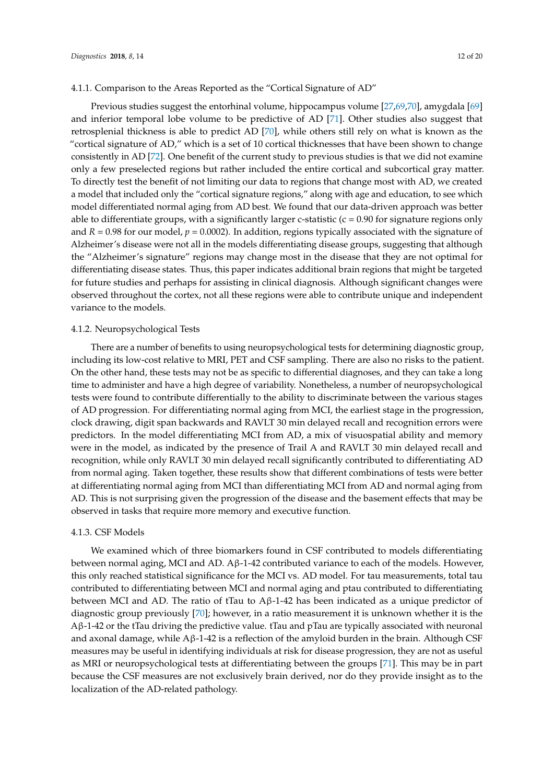## 4.1.1. Comparison to the Areas Reported as the "Cortical Signature of AD"

Previous studies suggest the entorhinal volume, hippocampus volume [\[27](#page-16-6)[,69](#page-18-12)[,70\]](#page-18-13), amygdala [\[69\]](#page-18-12) and inferior temporal lobe volume to be predictive of AD [\[71\]](#page-18-14). Other studies also suggest that retrosplenial thickness is able to predict AD [\[70\]](#page-18-13), while others still rely on what is known as the "cortical signature of AD," which is a set of 10 cortical thicknesses that have been shown to change consistently in AD [\[72\]](#page-18-15). One benefit of the current study to previous studies is that we did not examine only a few preselected regions but rather included the entire cortical and subcortical gray matter. To directly test the benefit of not limiting our data to regions that change most with AD, we created a model that included only the "cortical signature regions," along with age and education, to see which model differentiated normal aging from AD best. We found that our data-driven approach was better able to differentiate groups, with a significantly larger c-statistic  $(c = 0.90$  for signature regions only and  $R = 0.98$  for our model,  $p = 0.0002$ ). In addition, regions typically associated with the signature of Alzheimer's disease were not all in the models differentiating disease groups, suggesting that although the "Alzheimer's signature" regions may change most in the disease that they are not optimal for differentiating disease states. Thus, this paper indicates additional brain regions that might be targeted for future studies and perhaps for assisting in clinical diagnosis. Although significant changes were observed throughout the cortex, not all these regions were able to contribute unique and independent variance to the models.

## 4.1.2. Neuropsychological Tests

There are a number of benefits to using neuropsychological tests for determining diagnostic group, including its low-cost relative to MRI, PET and CSF sampling. There are also no risks to the patient. On the other hand, these tests may not be as specific to differential diagnoses, and they can take a long time to administer and have a high degree of variability. Nonetheless, a number of neuropsychological tests were found to contribute differentially to the ability to discriminate between the various stages of AD progression. For differentiating normal aging from MCI, the earliest stage in the progression, clock drawing, digit span backwards and RAVLT 30 min delayed recall and recognition errors were predictors. In the model differentiating MCI from AD, a mix of visuospatial ability and memory were in the model, as indicated by the presence of Trail A and RAVLT 30 min delayed recall and recognition, while only RAVLT 30 min delayed recall significantly contributed to differentiating AD from normal aging. Taken together, these results show that different combinations of tests were better at differentiating normal aging from MCI than differentiating MCI from AD and normal aging from AD. This is not surprising given the progression of the disease and the basement effects that may be observed in tasks that require more memory and executive function.

#### 4.1.3. CSF Models

We examined which of three biomarkers found in CSF contributed to models differentiating between normal aging, MCI and AD.  $A\beta$ -1-42 contributed variance to each of the models. However, this only reached statistical significance for the MCI vs. AD model. For tau measurements, total tau contributed to differentiating between MCI and normal aging and ptau contributed to differentiating between MCI and AD. The ratio of tTau to A $\beta$ -1-42 has been indicated as a unique predictor of diagnostic group previously [\[70\]](#page-18-13); however, in a ratio measurement it is unknown whether it is the Aβ-1-42 or the tTau driving the predictive value. tTau and pTau are typically associated with neuronal and axonal damage, while  $\mathbf{A}\beta$ -1-42 is a reflection of the amyloid burden in the brain. Although CSF measures may be useful in identifying individuals at risk for disease progression, they are not as useful as MRI or neuropsychological tests at differentiating between the groups [\[71\]](#page-18-14). This may be in part because the CSF measures are not exclusively brain derived, nor do they provide insight as to the localization of the AD-related pathology.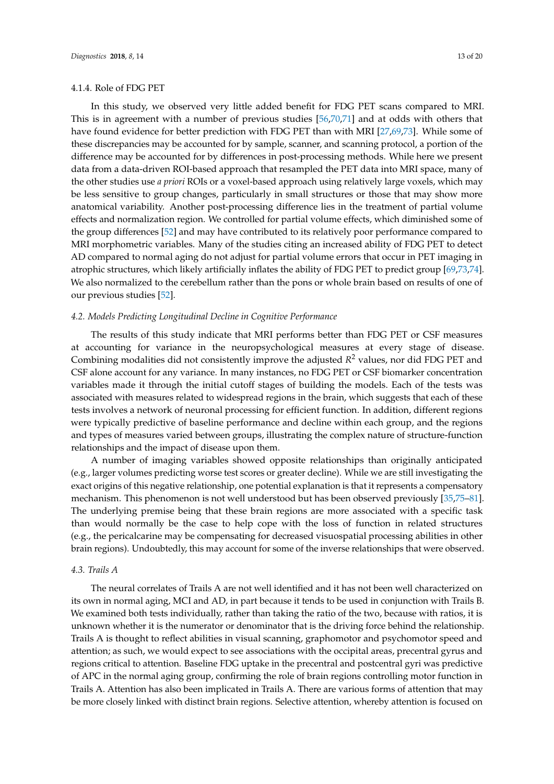#### 4.1.4. Role of FDG PET

In this study, we observed very little added benefit for FDG PET scans compared to MRI. This is in agreement with a number of previous studies [\[56,](#page-18-0)[70](#page-18-13)[,71\]](#page-18-14) and at odds with others that have found evidence for better prediction with FDG PET than with MRI [\[27](#page-16-6)[,69,](#page-18-12)[73\]](#page-19-0). While some of these discrepancies may be accounted for by sample, scanner, and scanning protocol, a portion of the difference may be accounted for by differences in post-processing methods. While here we present data from a data-driven ROI-based approach that resampled the PET data into MRI space, many of the other studies use *a priori* ROIs or a voxel-based approach using relatively large voxels, which may be less sensitive to group changes, particularly in small structures or those that may show more anatomical variability. Another post-processing difference lies in the treatment of partial volume effects and normalization region. We controlled for partial volume effects, which diminished some of the group differences [\[52\]](#page-17-12) and may have contributed to its relatively poor performance compared to MRI morphometric variables. Many of the studies citing an increased ability of FDG PET to detect AD compared to normal aging do not adjust for partial volume errors that occur in PET imaging in atrophic structures, which likely artificially inflates the ability of FDG PET to predict group [\[69](#page-18-12)[,73](#page-19-0)[,74\]](#page-19-1). We also normalized to the cerebellum rather than the pons or whole brain based on results of one of our previous studies [\[52\]](#page-17-12).

#### *4.2. Models Predicting Longitudinal Decline in Cognitive Performance*

The results of this study indicate that MRI performs better than FDG PET or CSF measures at accounting for variance in the neuropsychological measures at every stage of disease. Combining modalities did not consistently improve the adjusted *R* <sup>2</sup> values, nor did FDG PET and CSF alone account for any variance. In many instances, no FDG PET or CSF biomarker concentration variables made it through the initial cutoff stages of building the models. Each of the tests was associated with measures related to widespread regions in the brain, which suggests that each of these tests involves a network of neuronal processing for efficient function. In addition, different regions were typically predictive of baseline performance and decline within each group, and the regions and types of measures varied between groups, illustrating the complex nature of structure-function relationships and the impact of disease upon them.

A number of imaging variables showed opposite relationships than originally anticipated (e.g., larger volumes predicting worse test scores or greater decline). While we are still investigating the exact origins of this negative relationship, one potential explanation is that it represents a compensatory mechanism. This phenomenon is not well understood but has been observed previously [\[35,](#page-16-13)[75–](#page-19-2)[81\]](#page-19-3). The underlying premise being that these brain regions are more associated with a specific task than would normally be the case to help cope with the loss of function in related structures (e.g., the pericalcarine may be compensating for decreased visuospatial processing abilities in other brain regions). Undoubtedly, this may account for some of the inverse relationships that were observed.

#### *4.3. Trails A*

The neural correlates of Trails A are not well identified and it has not been well characterized on its own in normal aging, MCI and AD, in part because it tends to be used in conjunction with Trails B. We examined both tests individually, rather than taking the ratio of the two, because with ratios, it is unknown whether it is the numerator or denominator that is the driving force behind the relationship. Trails A is thought to reflect abilities in visual scanning, graphomotor and psychomotor speed and attention; as such, we would expect to see associations with the occipital areas, precentral gyrus and regions critical to attention. Baseline FDG uptake in the precentral and postcentral gyri was predictive of APC in the normal aging group, confirming the role of brain regions controlling motor function in Trails A. Attention has also been implicated in Trails A. There are various forms of attention that may be more closely linked with distinct brain regions. Selective attention, whereby attention is focused on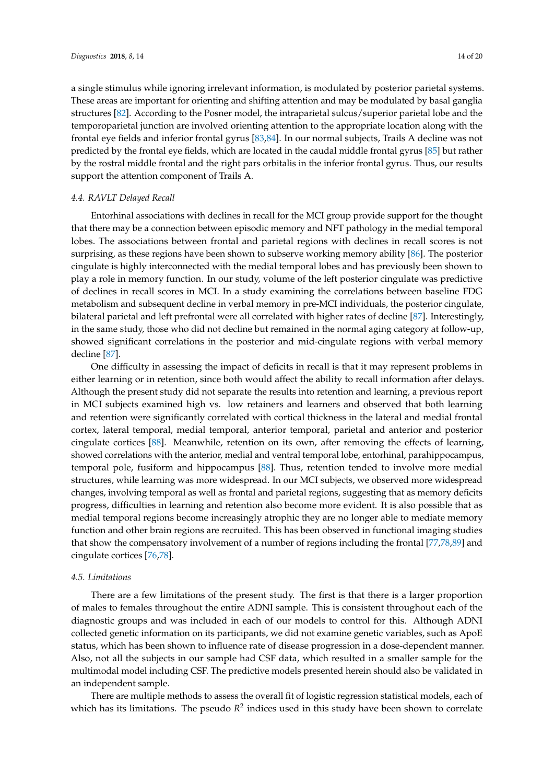a single stimulus while ignoring irrelevant information, is modulated by posterior parietal systems. These areas are important for orienting and shifting attention and may be modulated by basal ganglia structures [\[82\]](#page-19-4). According to the Posner model, the intraparietal sulcus/superior parietal lobe and the temporoparietal junction are involved orienting attention to the appropriate location along with the frontal eye fields and inferior frontal gyrus [\[83,](#page-19-5)[84\]](#page-19-6). In our normal subjects, Trails A decline was not predicted by the frontal eye fields, which are located in the caudal middle frontal gyrus [\[85\]](#page-19-7) but rather by the rostral middle frontal and the right pars orbitalis in the inferior frontal gyrus. Thus, our results support the attention component of Trails A.

## *4.4. RAVLT Delayed Recall*

Entorhinal associations with declines in recall for the MCI group provide support for the thought that there may be a connection between episodic memory and NFT pathology in the medial temporal lobes. The associations between frontal and parietal regions with declines in recall scores is not surprising, as these regions have been shown to subserve working memory ability [\[86\]](#page-19-8). The posterior cingulate is highly interconnected with the medial temporal lobes and has previously been shown to play a role in memory function. In our study, volume of the left posterior cingulate was predictive of declines in recall scores in MCI. In a study examining the correlations between baseline FDG metabolism and subsequent decline in verbal memory in pre-MCI individuals, the posterior cingulate, bilateral parietal and left prefrontal were all correlated with higher rates of decline [\[87\]](#page-19-9). Interestingly, in the same study, those who did not decline but remained in the normal aging category at follow-up, showed significant correlations in the posterior and mid-cingulate regions with verbal memory decline [\[87\]](#page-19-9).

One difficulty in assessing the impact of deficits in recall is that it may represent problems in either learning or in retention, since both would affect the ability to recall information after delays. Although the present study did not separate the results into retention and learning, a previous report in MCI subjects examined high vs. low retainers and learners and observed that both learning and retention were significantly correlated with cortical thickness in the lateral and medial frontal cortex, lateral temporal, medial temporal, anterior temporal, parietal and anterior and posterior cingulate cortices [\[88\]](#page-19-10). Meanwhile, retention on its own, after removing the effects of learning, showed correlations with the anterior, medial and ventral temporal lobe, entorhinal, parahippocampus, temporal pole, fusiform and hippocampus [\[88\]](#page-19-10). Thus, retention tended to involve more medial structures, while learning was more widespread. In our MCI subjects, we observed more widespread changes, involving temporal as well as frontal and parietal regions, suggesting that as memory deficits progress, difficulties in learning and retention also become more evident. It is also possible that as medial temporal regions become increasingly atrophic they are no longer able to mediate memory function and other brain regions are recruited. This has been observed in functional imaging studies that show the compensatory involvement of a number of regions including the frontal [\[77,](#page-19-11)[78,](#page-19-12)[89\]](#page-19-13) and cingulate cortices [\[76,](#page-19-14)[78\]](#page-19-12).

## *4.5. Limitations*

There are a few limitations of the present study. The first is that there is a larger proportion of males to females throughout the entire ADNI sample. This is consistent throughout each of the diagnostic groups and was included in each of our models to control for this. Although ADNI collected genetic information on its participants, we did not examine genetic variables, such as ApoE status, which has been shown to influence rate of disease progression in a dose-dependent manner. Also, not all the subjects in our sample had CSF data, which resulted in a smaller sample for the multimodal model including CSF. The predictive models presented herein should also be validated in an independent sample.

There are multiple methods to assess the overall fit of logistic regression statistical models, each of which has its limitations. The pseudo  $R^2$  indices used in this study have been shown to correlate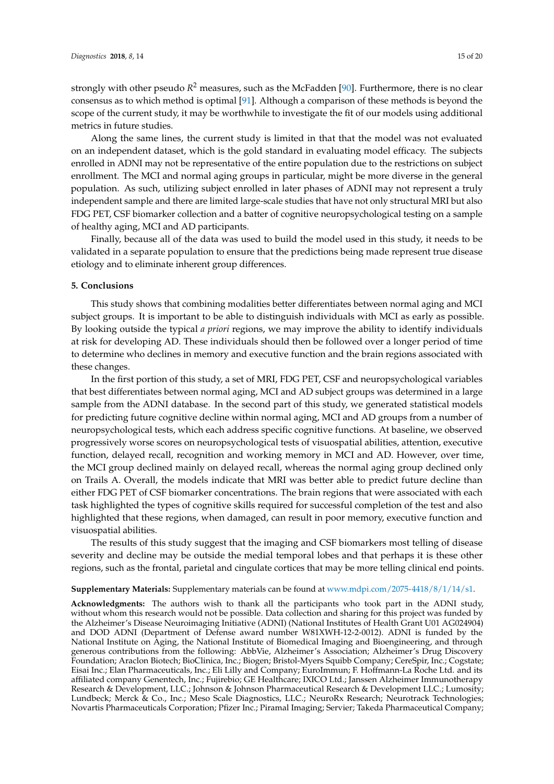Along the same lines, the current study is limited in that that the model was not evaluated on an independent dataset, which is the gold standard in evaluating model efficacy. The subjects enrolled in ADNI may not be representative of the entire population due to the restrictions on subject enrollment. The MCI and normal aging groups in particular, might be more diverse in the general population. As such, utilizing subject enrolled in later phases of ADNI may not represent a truly independent sample and there are limited large-scale studies that have not only structural MRI but also FDG PET, CSF biomarker collection and a batter of cognitive neuropsychological testing on a sample of healthy aging, MCI and AD participants.

Finally, because all of the data was used to build the model used in this study, it needs to be validated in a separate population to ensure that the predictions being made represent true disease etiology and to eliminate inherent group differences.

### **5. Conclusions**

This study shows that combining modalities better differentiates between normal aging and MCI subject groups. It is important to be able to distinguish individuals with MCI as early as possible. By looking outside the typical *a priori* regions, we may improve the ability to identify individuals at risk for developing AD. These individuals should then be followed over a longer period of time to determine who declines in memory and executive function and the brain regions associated with these changes.

In the first portion of this study, a set of MRI, FDG PET, CSF and neuropsychological variables that best differentiates between normal aging, MCI and AD subject groups was determined in a large sample from the ADNI database. In the second part of this study, we generated statistical models for predicting future cognitive decline within normal aging, MCI and AD groups from a number of neuropsychological tests, which each address specific cognitive functions. At baseline, we observed progressively worse scores on neuropsychological tests of visuospatial abilities, attention, executive function, delayed recall, recognition and working memory in MCI and AD. However, over time, the MCI group declined mainly on delayed recall, whereas the normal aging group declined only on Trails A. Overall, the models indicate that MRI was better able to predict future decline than either FDG PET of CSF biomarker concentrations. The brain regions that were associated with each task highlighted the types of cognitive skills required for successful completion of the test and also highlighted that these regions, when damaged, can result in poor memory, executive function and visuospatial abilities.

The results of this study suggest that the imaging and CSF biomarkers most telling of disease severity and decline may be outside the medial temporal lobes and that perhaps it is these other regions, such as the frontal, parietal and cingulate cortices that may be more telling clinical end points.

#### **Supplementary Materials:** Supplementary materials can be found at [www.mdpi.com/2075-4418/8/1/14/s1.](www.mdpi.com/2075-4418/8/1/14/s1)

**Acknowledgments:** The authors wish to thank all the participants who took part in the ADNI study, without whom this research would not be possible. Data collection and sharing for this project was funded by the Alzheimer's Disease Neuroimaging Initiative (ADNI) (National Institutes of Health Grant U01 AG024904) and DOD ADNI (Department of Defense award number W81XWH-12-2-0012). ADNI is funded by the National Institute on Aging, the National Institute of Biomedical Imaging and Bioengineering, and through generous contributions from the following: AbbVie, Alzheimer's Association; Alzheimer's Drug Discovery Foundation; Araclon Biotech; BioClinica, Inc.; Biogen; Bristol-Myers Squibb Company; CereSpir, Inc.; Cogstate; Eisai Inc.; Elan Pharmaceuticals, Inc.; Eli Lilly and Company; EuroImmun; F. Hoffmann-La Roche Ltd. and its affiliated company Genentech, Inc.; Fujirebio; GE Healthcare; IXICO Ltd.; Janssen Alzheimer Immunotherapy Research & Development, LLC.; Johnson & Johnson Pharmaceutical Research & Development LLC.; Lumosity; Lundbeck; Merck & Co., Inc.; Meso Scale Diagnostics, LLC.; NeuroRx Research; Neurotrack Technologies; Novartis Pharmaceuticals Corporation; Pfizer Inc.; Piramal Imaging; Servier; Takeda Pharmaceutical Company;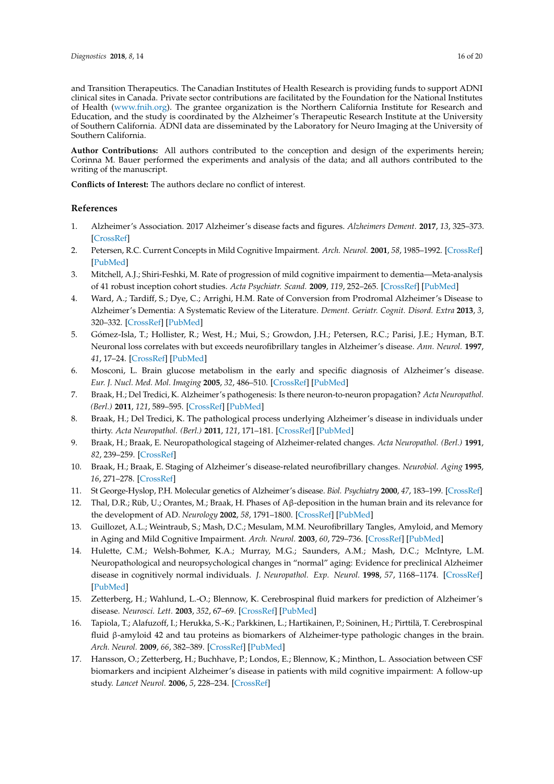and Transition Therapeutics. The Canadian Institutes of Health Research is providing funds to support ADNI clinical sites in Canada. Private sector contributions are facilitated by the Foundation for the National Institutes of Health [\(www.fnih.org\)](www.fnih.org). The grantee organization is the Northern California Institute for Research and Education, and the study is coordinated by the Alzheimer's Therapeutic Research Institute at the University of Southern California. ADNI data are disseminated by the Laboratory for Neuro Imaging at the University of Southern California.

**Author Contributions:** All authors contributed to the conception and design of the experiments herein; Corinna M. Bauer performed the experiments and analysis of the data; and all authors contributed to the writing of the manuscript.

**Conflicts of Interest:** The authors declare no conflict of interest.

## **References**

- <span id="page-15-0"></span>1. Alzheimer's Association. 2017 Alzheimer's disease facts and figures. *Alzheimers Dement.* **2017**, *13*, 325–373. [\[CrossRef\]](http://dx.doi.org/10.1016/j.jalz.2017.02.001)
- <span id="page-15-1"></span>2. Petersen, R.C. Current Concepts in Mild Cognitive Impairment. *Arch. Neurol.* **2001**, *58*, 1985–1992. [\[CrossRef\]](http://dx.doi.org/10.1001/archneur.58.12.1985) [\[PubMed\]](http://www.ncbi.nlm.nih.gov/pubmed/11735772)
- 3. Mitchell, A.J.; Shiri-Feshki, M. Rate of progression of mild cognitive impairment to dementia—Meta-analysis of 41 robust inception cohort studies. *Acta Psychiatr. Scand.* **2009**, *119*, 252–265. [\[CrossRef\]](http://dx.doi.org/10.1111/j.1600-0447.2008.01326.x) [\[PubMed\]](http://www.ncbi.nlm.nih.gov/pubmed/19236314)
- <span id="page-15-2"></span>4. Ward, A.; Tardiff, S.; Dye, C.; Arrighi, H.M. Rate of Conversion from Prodromal Alzheimer's Disease to Alzheimer's Dementia: A Systematic Review of the Literature. *Dement. Geriatr. Cognit. Disord. Extra* **2013**, *3*, 320–332. [\[CrossRef\]](http://dx.doi.org/10.1159/000354370) [\[PubMed\]](http://www.ncbi.nlm.nih.gov/pubmed/24174927)
- <span id="page-15-3"></span>5. Gómez-Isla, T.; Hollister, R.; West, H.; Mui, S.; Growdon, J.H.; Petersen, R.C.; Parisi, J.E.; Hyman, B.T. Neuronal loss correlates with but exceeds neurofibrillary tangles in Alzheimer's disease. *Ann. Neurol.* **1997**, *41*, 17–24. [\[CrossRef\]](http://dx.doi.org/10.1002/ana.410410106) [\[PubMed\]](http://www.ncbi.nlm.nih.gov/pubmed/9005861)
- <span id="page-15-4"></span>6. Mosconi, L. Brain glucose metabolism in the early and specific diagnosis of Alzheimer's disease. *Eur. J. Nucl. Med. Mol. Imaging* **2005**, *32*, 486–510. [\[CrossRef\]](http://dx.doi.org/10.1007/s00259-005-1762-7) [\[PubMed\]](http://www.ncbi.nlm.nih.gov/pubmed/15747152)
- <span id="page-15-5"></span>7. Braak, H.; Del Tredici, K. Alzheimer's pathogenesis: Is there neuron-to-neuron propagation? *Acta Neuropathol. (Berl.)* **2011**, *121*, 589–595. [\[CrossRef\]](http://dx.doi.org/10.1007/s00401-011-0825-z) [\[PubMed\]](http://www.ncbi.nlm.nih.gov/pubmed/21516512)
- <span id="page-15-6"></span>8. Braak, H.; Del Tredici, K. The pathological process underlying Alzheimer's disease in individuals under thirty. *Acta Neuropathol. (Berl.)* **2011**, *121*, 171–181. [\[CrossRef\]](http://dx.doi.org/10.1007/s00401-010-0789-4) [\[PubMed\]](http://www.ncbi.nlm.nih.gov/pubmed/21170538)
- <span id="page-15-7"></span>9. Braak, H.; Braak, E. Neuropathological stageing of Alzheimer-related changes. *Acta Neuropathol. (Berl.)* **1991**, *82*, 239–259. [\[CrossRef\]](http://dx.doi.org/10.1007/BF00308809)
- 10. Braak, H.; Braak, E. Staging of Alzheimer's disease-related neurofibrillary changes. *Neurobiol. Aging* **1995**, *16*, 271–278. [\[CrossRef\]](http://dx.doi.org/10.1016/0197-4580(95)00021-6)
- <span id="page-15-8"></span>11. St George-Hyslop, P.H. Molecular genetics of Alzheimer's disease. *Biol. Psychiatry* **2000**, *47*, 183–199. [\[CrossRef\]](http://dx.doi.org/10.1016/S0006-3223(99)00301-7)
- <span id="page-15-9"></span>12. Thal, D.R.; Rüb, U.; Orantes, M.; Braak, H. Phases of Aβ-deposition in the human brain and its relevance for the development of AD. *Neurology* **2002**, *58*, 1791–1800. [\[CrossRef\]](http://dx.doi.org/10.1212/WNL.58.12.1791) [\[PubMed\]](http://www.ncbi.nlm.nih.gov/pubmed/12084879)
- <span id="page-15-10"></span>13. Guillozet, A.L.; Weintraub, S.; Mash, D.C.; Mesulam, M.M. Neurofibrillary Tangles, Amyloid, and Memory in Aging and Mild Cognitive Impairment. *Arch. Neurol.* **2003**, *60*, 729–736. [\[CrossRef\]](http://dx.doi.org/10.1001/archneur.60.5.729) [\[PubMed\]](http://www.ncbi.nlm.nih.gov/pubmed/12756137)
- <span id="page-15-11"></span>14. Hulette, C.M.; Welsh-Bohmer, K.A.; Murray, M.G.; Saunders, A.M.; Mash, D.C.; McIntyre, L.M. Neuropathological and neuropsychological changes in "normal" aging: Evidence for preclinical Alzheimer disease in cognitively normal individuals. *J. Neuropathol. Exp. Neurol.* **1998**, *57*, 1168–1174. [\[CrossRef\]](http://dx.doi.org/10.1097/00005072-199812000-00009) [\[PubMed\]](http://www.ncbi.nlm.nih.gov/pubmed/9862640)
- <span id="page-15-12"></span>15. Zetterberg, H.; Wahlund, L.-O.; Blennow, K. Cerebrospinal fluid markers for prediction of Alzheimer's disease. *Neurosci. Lett.* **2003**, *352*, 67–69. [\[CrossRef\]](http://dx.doi.org/10.1016/j.neulet.2003.08.011) [\[PubMed\]](http://www.ncbi.nlm.nih.gov/pubmed/14615052)
- <span id="page-15-13"></span>16. Tapiola, T.; Alafuzoff, I.; Herukka, S.-K.; Parkkinen, L.; Hartikainen, P.; Soininen, H.; Pirttilä, T. Cerebrospinal fluid β-amyloid 42 and tau proteins as biomarkers of Alzheimer-type pathologic changes in the brain. *Arch. Neurol.* **2009**, *66*, 382–389. [\[CrossRef\]](http://dx.doi.org/10.1001/archneurol.2008.596) [\[PubMed\]](http://www.ncbi.nlm.nih.gov/pubmed/19273758)
- <span id="page-15-14"></span>17. Hansson, O.; Zetterberg, H.; Buchhave, P.; Londos, E.; Blennow, K.; Minthon, L. Association between CSF biomarkers and incipient Alzheimer's disease in patients with mild cognitive impairment: A follow-up study. *Lancet Neurol.* **2006**, *5*, 228–234. [\[CrossRef\]](http://dx.doi.org/10.1016/S1474-4422(06)70355-6)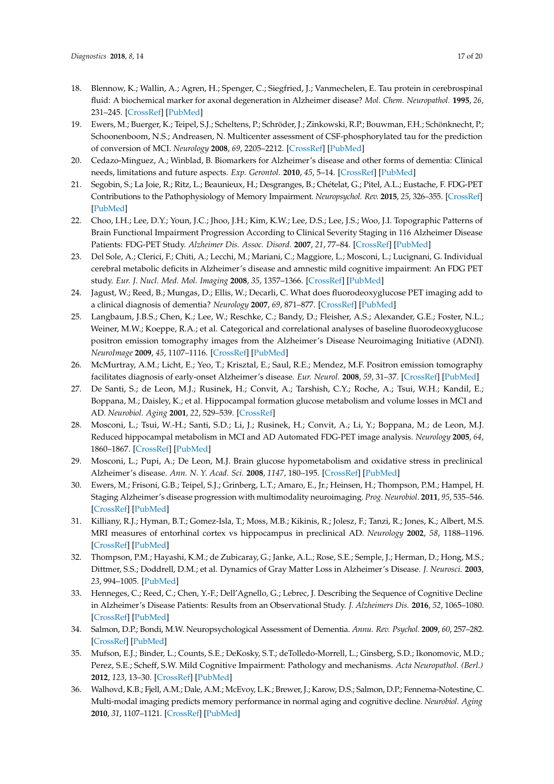- <span id="page-16-0"></span>18. Blennow, K.; Wallin, A.; Agren, H.; Spenger, C.; Siegfried, J.; Vanmechelen, E. Tau protein in cerebrospinal fluid: A biochemical marker for axonal degeneration in Alzheimer disease? *Mol. Chem. Neuropathol.* **1995**, *26*, 231–245. [\[CrossRef\]](http://dx.doi.org/10.1007/BF02815140) [\[PubMed\]](http://www.ncbi.nlm.nih.gov/pubmed/8748926)
- <span id="page-16-1"></span>19. Ewers, M.; Buerger, K.; Teipel, S.J.; Scheltens, P.; Schröder, J.; Zinkowski, R.P.; Bouwman, F.H.; Schönknecht, P.; Schoonenboom, N.S.; Andreasen, N. Multicenter assessment of CSF-phosphorylated tau for the prediction of conversion of MCI. *Neurology* **2008**, *69*, 2205–2212. [\[CrossRef\]](http://dx.doi.org/10.1212/01.wnl.0000286944.22262.ff) [\[PubMed\]](http://www.ncbi.nlm.nih.gov/pubmed/18071141)
- <span id="page-16-2"></span>20. Cedazo-Minguez, A.; Winblad, B. Biomarkers for Alzheimer's disease and other forms of dementia: Clinical needs, limitations and future aspects. *Exp. Gerontol.* **2010**, *45*, 5–14. [\[CrossRef\]](http://dx.doi.org/10.1016/j.exger.2009.09.008) [\[PubMed\]](http://www.ncbi.nlm.nih.gov/pubmed/19796673)
- <span id="page-16-3"></span>21. Segobin, S.; La Joie, R.; Ritz, L.; Beaunieux, H.; Desgranges, B.; Chételat, G.; Pitel, A.L.; Eustache, F. FDG-PET Contributions to the Pathophysiology of Memory Impairment. *Neuropsychol. Rev.* **2015**, *25*, 326–355. [\[CrossRef\]](http://dx.doi.org/10.1007/s11065-015-9297-6) [\[PubMed\]](http://www.ncbi.nlm.nih.gov/pubmed/26319237)
- <span id="page-16-4"></span>22. Choo, I.H.; Lee, D.Y.; Youn, J.C.; Jhoo, J.H.; Kim, K.W.; Lee, D.S.; Lee, J.S.; Woo, J.I. Topographic Patterns of Brain Functional Impairment Progression According to Clinical Severity Staging in 116 Alzheimer Disease Patients: FDG-PET Study. *Alzheimer Dis. Assoc. Disord.* **2007**, *21*, 77–84. [\[CrossRef\]](http://dx.doi.org/10.1097/WAD.0b013e3180687418) [\[PubMed\]](http://www.ncbi.nlm.nih.gov/pubmed/17545731)
- 23. Del Sole, A.; Clerici, F.; Chiti, A.; Lecchi, M.; Mariani, C.; Maggiore, L.; Mosconi, L.; Lucignani, G. Individual cerebral metabolic deficits in Alzheimer's disease and amnestic mild cognitive impairment: An FDG PET study. *Eur. J. Nucl. Med. Mol. Imaging* **2008**, *35*, 1357–1366. [\[CrossRef\]](http://dx.doi.org/10.1007/s00259-008-0773-6) [\[PubMed\]](http://www.ncbi.nlm.nih.gov/pubmed/18418593)
- 24. Jagust, W.; Reed, B.; Mungas, D.; Ellis, W.; Decarli, C. What does fluorodeoxyglucose PET imaging add to a clinical diagnosis of dementia? *Neurology* **2007**, *69*, 871–877. [\[CrossRef\]](http://dx.doi.org/10.1212/01.wnl.0000269790.05105.16) [\[PubMed\]](http://www.ncbi.nlm.nih.gov/pubmed/17724289)
- 25. Langbaum, J.B.S.; Chen, K.; Lee, W.; Reschke, C.; Bandy, D.; Fleisher, A.S.; Alexander, G.E.; Foster, N.L.; Weiner, M.W.; Koeppe, R.A.; et al. Categorical and correlational analyses of baseline fluorodeoxyglucose positron emission tomography images from the Alzheimer's Disease Neuroimaging Initiative (ADNI). *NeuroImage* **2009**, *45*, 1107–1116. [\[CrossRef\]](http://dx.doi.org/10.1016/j.neuroimage.2008.12.072) [\[PubMed\]](http://www.ncbi.nlm.nih.gov/pubmed/19349228)
- <span id="page-16-5"></span>26. McMurtray, A.M.; Licht, E.; Yeo, T.; Krisztal, E.; Saul, R.E.; Mendez, M.F. Positron emission tomography facilitates diagnosis of early-onset Alzheimer's disease. *Eur. Neurol.* **2008**, *59*, 31–37. [\[CrossRef\]](http://dx.doi.org/10.1159/000109258) [\[PubMed\]](http://www.ncbi.nlm.nih.gov/pubmed/17917455)
- <span id="page-16-6"></span>27. De Santi, S.; de Leon, M.J.; Rusinek, H.; Convit, A.; Tarshish, C.Y.; Roche, A.; Tsui, W.H.; Kandil, E.; Boppana, M.; Daisley, K.; et al. Hippocampal formation glucose metabolism and volume losses in MCI and AD. *Neurobiol. Aging* **2001**, *22*, 529–539. [\[CrossRef\]](http://dx.doi.org/10.1016/S0197-4580(01)00230-5)
- <span id="page-16-7"></span>28. Mosconi, L.; Tsui, W.-H.; Santi, S.D.; Li, J.; Rusinek, H.; Convit, A.; Li, Y.; Boppana, M.; de Leon, M.J. Reduced hippocampal metabolism in MCI and AD Automated FDG-PET image analysis. *Neurology* **2005**, *64*, 1860–1867. [\[CrossRef\]](http://dx.doi.org/10.1212/01.WNL.0000163856.13524.08) [\[PubMed\]](http://www.ncbi.nlm.nih.gov/pubmed/15955934)
- <span id="page-16-8"></span>29. Mosconi, L.; Pupi, A.; De Leon, M.J. Brain glucose hypometabolism and oxidative stress in preclinical Alzheimer's disease. *Ann. N. Y. Acad. Sci.* **2008**, *1147*, 180–195. [\[CrossRef\]](http://dx.doi.org/10.1196/annals.1427.007) [\[PubMed\]](http://www.ncbi.nlm.nih.gov/pubmed/19076441)
- <span id="page-16-9"></span>30. Ewers, M.; Frisoni, G.B.; Teipel, S.J.; Grinberg, L.T.; Amaro, E., Jr.; Heinsen, H.; Thompson, P.M.; Hampel, H. Staging Alzheimer's disease progression with multimodality neuroimaging. *Prog. Neurobiol.* **2011**, *95*, 535–546. [\[CrossRef\]](http://dx.doi.org/10.1016/j.pneurobio.2011.06.004) [\[PubMed\]](http://www.ncbi.nlm.nih.gov/pubmed/21718750)
- 31. Killiany, R.J.; Hyman, B.T.; Gomez-Isla, T.; Moss, M.B.; Kikinis, R.; Jolesz, F.; Tanzi, R.; Jones, K.; Albert, M.S. MRI measures of entorhinal cortex vs hippocampus in preclinical AD. *Neurology* **2002**, *58*, 1188–1196. [\[CrossRef\]](http://dx.doi.org/10.1212/WNL.58.8.1188) [\[PubMed\]](http://www.ncbi.nlm.nih.gov/pubmed/11971085)
- <span id="page-16-10"></span>32. Thompson, P.M.; Hayashi, K.M.; de Zubicaray, G.; Janke, A.L.; Rose, S.E.; Semple, J.; Herman, D.; Hong, M.S.; Dittmer, S.S.; Doddrell, D.M.; et al. Dynamics of Gray Matter Loss in Alzheimer's Disease. *J. Neurosci.* **2003**, *23*, 994–1005. [\[PubMed\]](http://www.ncbi.nlm.nih.gov/pubmed/12574429)
- <span id="page-16-11"></span>33. Henneges, C.; Reed, C.; Chen, Y.-F.; Dell'Agnello, G.; Lebrec, J. Describing the Sequence of Cognitive Decline in Alzheimer's Disease Patients: Results from an Observational Study. *J. Alzheimers Dis.* **2016**, *52*, 1065–1080. [\[CrossRef\]](http://dx.doi.org/10.3233/JAD-150852) [\[PubMed\]](http://www.ncbi.nlm.nih.gov/pubmed/27079700)
- <span id="page-16-12"></span>34. Salmon, D.P.; Bondi, M.W. Neuropsychological Assessment of Dementia. *Annu. Rev. Psychol.* **2009**, *60*, 257–282. [\[CrossRef\]](http://dx.doi.org/10.1146/annurev.psych.57.102904.190024) [\[PubMed\]](http://www.ncbi.nlm.nih.gov/pubmed/18616392)
- <span id="page-16-13"></span>35. Mufson, E.J.; Binder, L.; Counts, S.E.; DeKosky, S.T.; deTolledo-Morrell, L.; Ginsberg, S.D.; Ikonomovic, M.D.; Perez, S.E.; Scheff, S.W. Mild Cognitive Impairment: Pathology and mechanisms. *Acta Neuropathol. (Berl.)* **2012**, *123*, 13–30. [\[CrossRef\]](http://dx.doi.org/10.1007/s00401-011-0884-1) [\[PubMed\]](http://www.ncbi.nlm.nih.gov/pubmed/22101321)
- 36. Walhovd, K.B.; Fjell, A.M.; Dale, A.M.; McEvoy, L.K.; Brewer, J.; Karow, D.S.; Salmon, D.P.; Fennema-Notestine, C. Multi-modal imaging predicts memory performance in normal aging and cognitive decline. *Neurobiol. Aging* **2010**, *31*, 1107–1121. [\[CrossRef\]](http://dx.doi.org/10.1016/j.neurobiolaging.2008.08.013) [\[PubMed\]](http://www.ncbi.nlm.nih.gov/pubmed/18838195)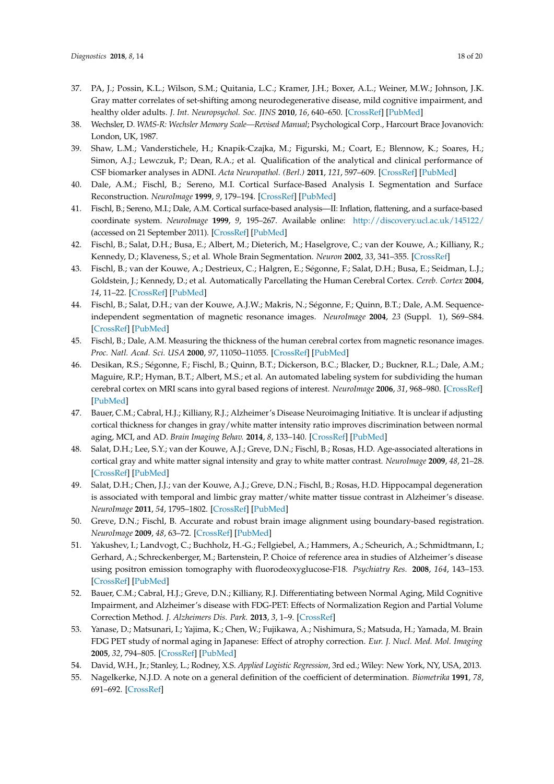- <span id="page-17-0"></span>37. PA, J.; Possin, K.L.; Wilson, S.M.; Quitania, L.C.; Kramer, J.H.; Boxer, A.L.; Weiner, M.W.; Johnson, J.K. Gray matter correlates of set-shifting among neurodegenerative disease, mild cognitive impairment, and healthy older adults. *J. Int. Neuropsychol. Soc. JINS* **2010**, *16*, 640–650. [\[CrossRef\]](http://dx.doi.org/10.1017/S1355617710000408) [\[PubMed\]](http://www.ncbi.nlm.nih.gov/pubmed/20374676)
- <span id="page-17-1"></span>38. Wechsler, D. *WMS-R: Wechsler Memory Scale—Revised Manual*; Psychological Corp., Harcourt Brace Jovanovich: London, UK, 1987.
- <span id="page-17-2"></span>39. Shaw, L.M.; Vanderstichele, H.; Knapik-Czajka, M.; Figurski, M.; Coart, E.; Blennow, K.; Soares, H.; Simon, A.J.; Lewczuk, P.; Dean, R.A.; et al. Qualification of the analytical and clinical performance of CSF biomarker analyses in ADNI. *Acta Neuropathol. (Berl.)* **2011**, *121*, 597–609. [\[CrossRef\]](http://dx.doi.org/10.1007/s00401-011-0808-0) [\[PubMed\]](http://www.ncbi.nlm.nih.gov/pubmed/21311900)
- <span id="page-17-3"></span>40. Dale, A.M.; Fischl, B.; Sereno, M.I. Cortical Surface-Based Analysis I. Segmentation and Surface Reconstruction. *NeuroImage* **1999**, *9*, 179–194. [\[CrossRef\]](http://dx.doi.org/10.1006/nimg.1998.0395) [\[PubMed\]](http://www.ncbi.nlm.nih.gov/pubmed/9931268)
- <span id="page-17-4"></span>41. Fischl, B.; Sereno, M.I.; Dale, A.M. Cortical surface-based analysis—II: Inflation, flattening, and a surface-based coordinate system. *NeuroImage* **1999**, *9*, 195–267. Available online: <http://discovery.ucl.ac.uk/145122/> (accessed on 21 September 2011). [\[CrossRef\]](http://dx.doi.org/10.1006/nimg.1998.0396) [\[PubMed\]](http://www.ncbi.nlm.nih.gov/pubmed/9931269)
- 42. Fischl, B.; Salat, D.H.; Busa, E.; Albert, M.; Dieterich, M.; Haselgrove, C.; van der Kouwe, A.; Killiany, R.; Kennedy, D.; Klaveness, S.; et al. Whole Brain Segmentation. *Neuron* **2002**, *33*, 341–355. [\[CrossRef\]](http://dx.doi.org/10.1016/S0896-6273(02)00569-X)
- 43. Fischl, B.; van der Kouwe, A.; Destrieux, C.; Halgren, E.; Ségonne, F.; Salat, D.H.; Busa, E.; Seidman, L.J.; Goldstein, J.; Kennedy, D.; et al. Automatically Parcellating the Human Cerebral Cortex. *Cereb. Cortex* **2004**, *14*, 11–22. [\[CrossRef\]](http://dx.doi.org/10.1093/cercor/bhg087) [\[PubMed\]](http://www.ncbi.nlm.nih.gov/pubmed/14654453)
- 44. Fischl, B.; Salat, D.H.; van der Kouwe, A.J.W.; Makris, N.; Ségonne, F.; Quinn, B.T.; Dale, A.M. Sequenceindependent segmentation of magnetic resonance images. *NeuroImage* **2004**, *23* (Suppl. 1), S69–S84. [\[CrossRef\]](http://dx.doi.org/10.1016/j.neuroimage.2004.07.016) [\[PubMed\]](http://www.ncbi.nlm.nih.gov/pubmed/15501102)
- <span id="page-17-5"></span>45. Fischl, B.; Dale, A.M. Measuring the thickness of the human cerebral cortex from magnetic resonance images. *Proc. Natl. Acad. Sci. USA* **2000**, *97*, 11050–11055. [\[CrossRef\]](http://dx.doi.org/10.1073/pnas.200033797) [\[PubMed\]](http://www.ncbi.nlm.nih.gov/pubmed/10984517)
- <span id="page-17-6"></span>46. Desikan, R.S.; Ségonne, F.; Fischl, B.; Quinn, B.T.; Dickerson, B.C.; Blacker, D.; Buckner, R.L.; Dale, A.M.; Maguire, R.P.; Hyman, B.T.; Albert, M.S.; et al. An automated labeling system for subdividing the human cerebral cortex on MRI scans into gyral based regions of interest. *NeuroImage* **2006**, *31*, 968–980. [\[CrossRef\]](http://dx.doi.org/10.1016/j.neuroimage.2006.01.021) [\[PubMed\]](http://www.ncbi.nlm.nih.gov/pubmed/16530430)
- <span id="page-17-7"></span>47. Bauer, C.M.; Cabral, H.J.; Killiany, R.J.; Alzheimer's Disease Neuroimaging Initiative. It is unclear if adjusting cortical thickness for changes in gray/white matter intensity ratio improves discrimination between normal aging, MCI, and AD. *Brain Imaging Behav.* **2014**, *8*, 133–140. [\[CrossRef\]](http://dx.doi.org/10.1007/s11682-013-9268-6) [\[PubMed\]](http://www.ncbi.nlm.nih.gov/pubmed/24535034)
- <span id="page-17-8"></span>48. Salat, D.H.; Lee, S.Y.; van der Kouwe, A.J.; Greve, D.N.; Fischl, B.; Rosas, H.D. Age-associated alterations in cortical gray and white matter signal intensity and gray to white matter contrast. *NeuroImage* **2009**, *48*, 21–28. [\[CrossRef\]](http://dx.doi.org/10.1016/j.neuroimage.2009.06.074) [\[PubMed\]](http://www.ncbi.nlm.nih.gov/pubmed/19580876)
- <span id="page-17-9"></span>49. Salat, D.H.; Chen, J.J.; van der Kouwe, A.J.; Greve, D.N.; Fischl, B.; Rosas, H.D. Hippocampal degeneration is associated with temporal and limbic gray matter/white matter tissue contrast in Alzheimer's disease. *NeuroImage* **2011**, *54*, 1795–1802. [\[CrossRef\]](http://dx.doi.org/10.1016/j.neuroimage.2010.10.034) [\[PubMed\]](http://www.ncbi.nlm.nih.gov/pubmed/20965261)
- <span id="page-17-10"></span>50. Greve, D.N.; Fischl, B. Accurate and robust brain image alignment using boundary-based registration. *NeuroImage* **2009**, *48*, 63–72. [\[CrossRef\]](http://dx.doi.org/10.1016/j.neuroimage.2009.06.060) [\[PubMed\]](http://www.ncbi.nlm.nih.gov/pubmed/19573611)
- <span id="page-17-11"></span>51. Yakushev, I.; Landvogt, C.; Buchholz, H.-G.; Fellgiebel, A.; Hammers, A.; Scheurich, A.; Schmidtmann, I.; Gerhard, A.; Schreckenberger, M.; Bartenstein, P. Choice of reference area in studies of Alzheimer's disease using positron emission tomography with fluorodeoxyglucose-F18. *Psychiatry Res.* **2008**, *164*, 143–153. [\[CrossRef\]](http://dx.doi.org/10.1016/j.pscychresns.2007.11.004) [\[PubMed\]](http://www.ncbi.nlm.nih.gov/pubmed/18930634)
- <span id="page-17-12"></span>52. Bauer, C.M.; Cabral, H.J.; Greve, D.N.; Killiany, R.J. Differentiating between Normal Aging, Mild Cognitive Impairment, and Alzheimer's disease with FDG-PET: Effects of Normalization Region and Partial Volume Correction Method. *J. Alzheimers Dis. Park.* **2013**, *3*, 1–9. [\[CrossRef\]](http://dx.doi.org/10.4172/2161-0460.1000113)
- <span id="page-17-13"></span>53. Yanase, D.; Matsunari, I.; Yajima, K.; Chen, W.; Fujikawa, A.; Nishimura, S.; Matsuda, H.; Yamada, M. Brain FDG PET study of normal aging in Japanese: Effect of atrophy correction. *Eur. J. Nucl. Med. Mol. Imaging* **2005**, *32*, 794–805. [\[CrossRef\]](http://dx.doi.org/10.1007/s00259-005-1767-2) [\[PubMed\]](http://www.ncbi.nlm.nih.gov/pubmed/15759148)
- <span id="page-17-14"></span>54. David, W.H., Jr.; Stanley, L.; Rodney, X.S. *Applied Logistic Regression*, 3rd ed.; Wiley: New York, NY, USA, 2013.
- <span id="page-17-15"></span>55. Nagelkerke, N.J.D. A note on a general definition of the coefficient of determination. *Biometrika* **1991**, *78*, 691–692. [\[CrossRef\]](http://dx.doi.org/10.1093/biomet/78.3.691)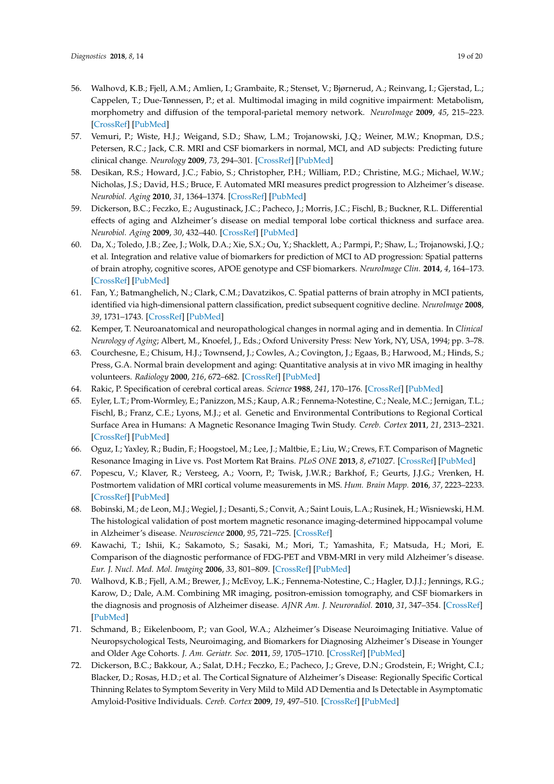- <span id="page-18-0"></span>56. Walhovd, K.B.; Fjell, A.M.; Amlien, I.; Grambaite, R.; Stenset, V.; Bjørnerud, A.; Reinvang, I.; Gjerstad, L.; Cappelen, T.; Due-Tønnessen, P.; et al. Multimodal imaging in mild cognitive impairment: Metabolism, morphometry and diffusion of the temporal-parietal memory network. *NeuroImage* **2009**, *45*, 215–223. [\[CrossRef\]](http://dx.doi.org/10.1016/j.neuroimage.2008.10.053) [\[PubMed\]](http://www.ncbi.nlm.nih.gov/pubmed/19056499)
- <span id="page-18-1"></span>57. Vemuri, P.; Wiste, H.J.; Weigand, S.D.; Shaw, L.M.; Trojanowski, J.Q.; Weiner, M.W.; Knopman, D.S.; Petersen, R.C.; Jack, C.R. MRI and CSF biomarkers in normal, MCI, and AD subjects: Predicting future clinical change. *Neurology* **2009**, *73*, 294–301. [\[CrossRef\]](http://dx.doi.org/10.1212/WNL.0b013e3181af79fb) [\[PubMed\]](http://www.ncbi.nlm.nih.gov/pubmed/19636049)
- <span id="page-18-2"></span>58. Desikan, R.S.; Howard, J.C.; Fabio, S.; Christopher, P.H.; William, P.D.; Christine, M.G.; Michael, W.W.; Nicholas, J.S.; David, H.S.; Bruce, F. Automated MRI measures predict progression to Alzheimer's disease. *Neurobiol. Aging* **2010**, *31*, 1364–1374. [\[CrossRef\]](http://dx.doi.org/10.1016/j.neurobiolaging.2010.04.023) [\[PubMed\]](http://www.ncbi.nlm.nih.gov/pubmed/20570399)
- <span id="page-18-3"></span>59. Dickerson, B.C.; Feczko, E.; Augustinack, J.C.; Pacheco, J.; Morris, J.C.; Fischl, B.; Buckner, R.L. Differential effects of aging and Alzheimer's disease on medial temporal lobe cortical thickness and surface area. *Neurobiol. Aging* **2009**, *30*, 432–440. [\[CrossRef\]](http://dx.doi.org/10.1016/j.neurobiolaging.2007.07.022) [\[PubMed\]](http://www.ncbi.nlm.nih.gov/pubmed/17869384)
- <span id="page-18-4"></span>60. Da, X.; Toledo, J.B.; Zee, J.; Wolk, D.A.; Xie, S.X.; Ou, Y.; Shacklett, A.; Parmpi, P.; Shaw, L.; Trojanowski, J.Q.; et al. Integration and relative value of biomarkers for prediction of MCI to AD progression: Spatial patterns of brain atrophy, cognitive scores, APOE genotype and CSF biomarkers. *NeuroImage Clin.* **2014**, *4*, 164–173. [\[CrossRef\]](http://dx.doi.org/10.1016/j.nicl.2013.11.010) [\[PubMed\]](http://www.ncbi.nlm.nih.gov/pubmed/24371799)
- <span id="page-18-5"></span>61. Fan, Y.; Batmanghelich, N.; Clark, C.M.; Davatzikos, C. Spatial patterns of brain atrophy in MCI patients, identified via high-dimensional pattern classification, predict subsequent cognitive decline. *NeuroImage* **2008**, *39*, 1731–1743. [\[CrossRef\]](http://dx.doi.org/10.1016/j.neuroimage.2007.10.031) [\[PubMed\]](http://www.ncbi.nlm.nih.gov/pubmed/18053747)
- <span id="page-18-6"></span>62. Kemper, T. Neuroanatomical and neuropathological changes in normal aging and in dementia. In *Clinical Neurology of Aging*; Albert, M., Knoefel, J., Eds.; Oxford University Press: New York, NY, USA, 1994; pp. 3–78.
- <span id="page-18-7"></span>63. Courchesne, E.; Chisum, H.J.; Townsend, J.; Cowles, A.; Covington, J.; Egaas, B.; Harwood, M.; Hinds, S.; Press, G.A. Normal brain development and aging: Quantitative analysis at in vivo MR imaging in healthy volunteers. *Radiology* **2000**, *216*, 672–682. [\[CrossRef\]](http://dx.doi.org/10.1148/radiology.216.3.r00au37672) [\[PubMed\]](http://www.ncbi.nlm.nih.gov/pubmed/10966694)
- <span id="page-18-8"></span>64. Rakic, P. Specification of cerebral cortical areas. *Science* **1988**, *241*, 170–176. [\[CrossRef\]](http://dx.doi.org/10.1126/science.3291116) [\[PubMed\]](http://www.ncbi.nlm.nih.gov/pubmed/3291116)
- <span id="page-18-9"></span>65. Eyler, L.T.; Prom-Wormley, E.; Panizzon, M.S.; Kaup, A.R.; Fennema-Notestine, C.; Neale, M.C.; Jernigan, T.L.; Fischl, B.; Franz, C.E.; Lyons, M.J.; et al. Genetic and Environmental Contributions to Regional Cortical Surface Area in Humans: A Magnetic Resonance Imaging Twin Study. *Cereb. Cortex* **2011**, *21*, 2313–2321. [\[CrossRef\]](http://dx.doi.org/10.1093/cercor/bhr013) [\[PubMed\]](http://www.ncbi.nlm.nih.gov/pubmed/21378112)
- <span id="page-18-10"></span>66. Oguz, I.; Yaxley, R.; Budin, F.; Hoogstoel, M.; Lee, J.; Maltbie, E.; Liu, W.; Crews, F.T. Comparison of Magnetic Resonance Imaging in Live vs. Post Mortem Rat Brains. *PLoS ONE* **2013**, *8*, e71027. [\[CrossRef\]](http://dx.doi.org/10.1371/journal.pone.0071027) [\[PubMed\]](http://www.ncbi.nlm.nih.gov/pubmed/23967148)
- 67. Popescu, V.; Klaver, R.; Versteeg, A.; Voorn, P.; Twisk, J.W.R.; Barkhof, F.; Geurts, J.J.G.; Vrenken, H. Postmortem validation of MRI cortical volume measurements in MS. *Hum. Brain Mapp.* **2016**, *37*, 2223–2233. [\[CrossRef\]](http://dx.doi.org/10.1002/hbm.23168) [\[PubMed\]](http://www.ncbi.nlm.nih.gov/pubmed/26945922)
- <span id="page-18-11"></span>68. Bobinski, M.; de Leon, M.J.; Wegiel, J.; Desanti, S.; Convit, A.; Saint Louis, L.A.; Rusinek, H.; Wisniewski, H.M. The histological validation of post mortem magnetic resonance imaging-determined hippocampal volume in Alzheimer's disease. *Neuroscience* **2000**, *95*, 721–725. [\[CrossRef\]](http://dx.doi.org/10.1016/S0306-4522(99)00476-5)
- <span id="page-18-12"></span>69. Kawachi, T.; Ishii, K.; Sakamoto, S.; Sasaki, M.; Mori, T.; Yamashita, F.; Matsuda, H.; Mori, E. Comparison of the diagnostic performance of FDG-PET and VBM-MRI in very mild Alzheimer's disease. *Eur. J. Nucl. Med. Mol. Imaging* **2006**, *33*, 801–809. [\[CrossRef\]](http://dx.doi.org/10.1007/s00259-005-0050-x) [\[PubMed\]](http://www.ncbi.nlm.nih.gov/pubmed/16550383)
- <span id="page-18-13"></span>70. Walhovd, K.B.; Fjell, A.M.; Brewer, J.; McEvoy, L.K.; Fennema-Notestine, C.; Hagler, D.J.J.; Jennings, R.G.; Karow, D.; Dale, A.M. Combining MR imaging, positron-emission tomography, and CSF biomarkers in the diagnosis and prognosis of Alzheimer disease. *AJNR Am. J. Neuroradiol.* **2010**, *31*, 347–354. [\[CrossRef\]](http://dx.doi.org/10.3174/ajnr.A1809) [\[PubMed\]](http://www.ncbi.nlm.nih.gov/pubmed/20075088)
- <span id="page-18-14"></span>71. Schmand, B.; Eikelenboom, P.; van Gool, W.A.; Alzheimer's Disease Neuroimaging Initiative. Value of Neuropsychological Tests, Neuroimaging, and Biomarkers for Diagnosing Alzheimer's Disease in Younger and Older Age Cohorts. *J. Am. Geriatr. Soc.* **2011**, *59*, 1705–1710. [\[CrossRef\]](http://dx.doi.org/10.1111/j.1532-5415.2011.03539.x) [\[PubMed\]](http://www.ncbi.nlm.nih.gov/pubmed/21883100)
- <span id="page-18-15"></span>72. Dickerson, B.C.; Bakkour, A.; Salat, D.H.; Feczko, E.; Pacheco, J.; Greve, D.N.; Grodstein, F.; Wright, C.I.; Blacker, D.; Rosas, H.D.; et al. The Cortical Signature of Alzheimer's Disease: Regionally Specific Cortical Thinning Relates to Symptom Severity in Very Mild to Mild AD Dementia and Is Detectable in Asymptomatic Amyloid-Positive Individuals. *Cereb. Cortex* **2009**, *19*, 497–510. [\[CrossRef\]](http://dx.doi.org/10.1093/cercor/bhn113) [\[PubMed\]](http://www.ncbi.nlm.nih.gov/pubmed/18632739)